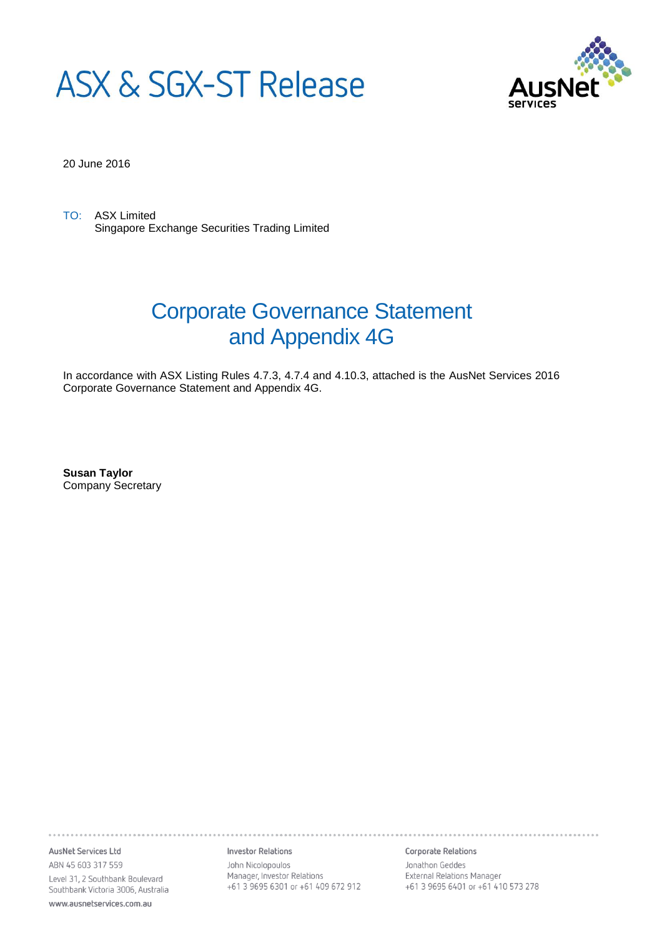



20 June 2016

TO: ASX Limited Singapore Exchange Securities Trading Limited

# Corporate Governance Statement and Appendix 4G

In accordance with ASX Listing Rules 4.7.3, 4.7.4 and 4.10.3, attached is the AusNet Services 2016 Corporate Governance Statement and Appendix 4G.

**Susan Taylor** Company Secretary

AusNet Services Ltd ABN 45 603 317 559 Level 31, 2 Southbank Boulevard Southbank Victoria 3006, Australia

www.ausnetservices.com.au

**Investor Relations** 

John Nicolopoulos Manager, Investor Relations +61 3 9695 6301 or +61 409 672 912

#### Corporate Relations

Jonathon Geddes External Relations Manager +61 3 9695 6401 or +61 410 573 278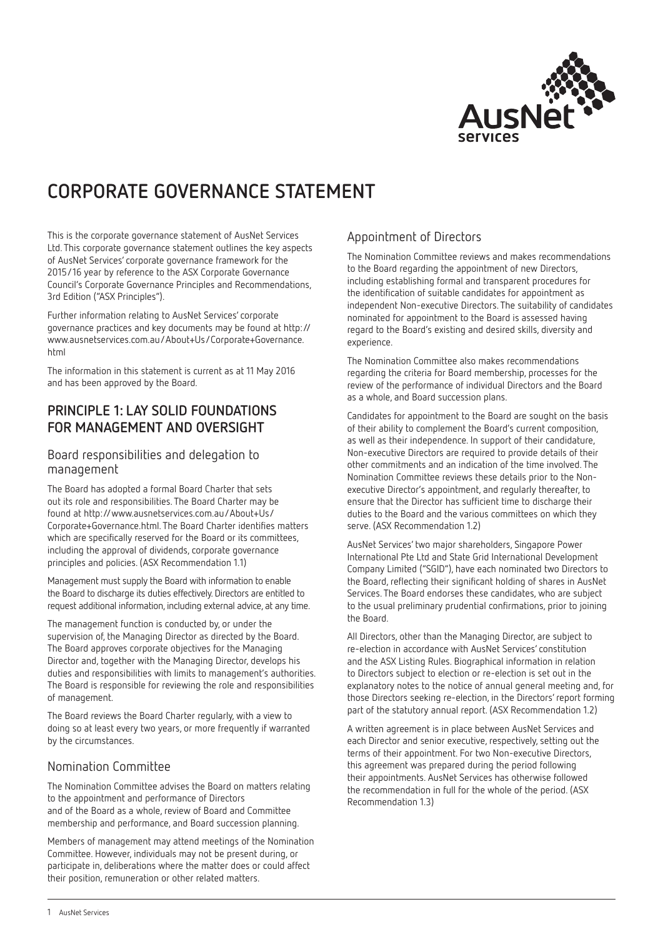

# **CORPORATE GOVERNANCE STATEMENT**

This is the corporate governance statement of AusNet Services Ltd. This corporate governance statement outlines the key aspects of AusNet Services' corporate governance framework for the 2015/16 year by reference to the ASX Corporate Governance Council's Corporate Governance Principles and Recommendations, 3rd Edition ("ASX Principles").

Further information relating to AusNet Services' corporate governance practices and key documents may be found at http:// www.ausnetservices.com.au/About+Us/Corporate+Governance. html

The information in this statement is current as at 11 May 2016 and has been approved by the Board.

### **PRINCIPLE 1: LAY SOLID FOUNDATIONS FOR MANAGEMENT AND OVERSIGHT**

#### Board responsibilities and delegation to management

The Board has adopted a formal Board Charter that sets out its role and responsibilities. The Board Charter may be found at http://www.ausnetservices.com.au/About+Us/ Corporate+Governance.html. The Board Charter identifies matters which are specifically reserved for the Board or its committees, including the approval of dividends, corporate governance principles and policies. (ASX Recommendation 1.1)

Management must supply the Board with information to enable the Board to discharge its duties effectively. Directors are entitled to request additional information, including external advice, at any time.

The management function is conducted by, or under the supervision of, the Managing Director as directed by the Board. The Board approves corporate objectives for the Managing Director and, together with the Managing Director, develops his duties and responsibilities with limits to management's authorities. The Board is responsible for reviewing the role and responsibilities of management.

The Board reviews the Board Charter regularly, with a view to doing so at least every two years, or more frequently if warranted by the circumstances.

#### Nomination Committee

The Nomination Committee advises the Board on matters relating to the appointment and performance of Directors and of the Board as a whole, review of Board and Committee membership and performance, and Board succession planning.

Members of management may attend meetings of the Nomination Committee. However, individuals may not be present during, or participate in, deliberations where the matter does or could affect their position, remuneration or other related matters.

### Appointment of Directors

The Nomination Committee reviews and makes recommendations to the Board regarding the appointment of new Directors, including establishing formal and transparent procedures for the identification of suitable candidates for appointment as independent Non-executive Directors. The suitability of candidates nominated for appointment to the Board is assessed having regard to the Board's existing and desired skills, diversity and experience.

The Nomination Committee also makes recommendations regarding the criteria for Board membership, processes for the review of the performance of individual Directors and the Board as a whole, and Board succession plans.

Candidates for appointment to the Board are sought on the basis of their ability to complement the Board's current composition, as well as their independence. In support of their candidature, Non-executive Directors are required to provide details of their other commitments and an indication of the time involved. The Nomination Committee reviews these details prior to the Nonexecutive Director's appointment, and regularly thereafter, to ensure that the Director has sufficient time to discharge their duties to the Board and the various committees on which they serve. (ASX Recommendation 1.2)

AusNet Services' two major shareholders, Singapore Power International Pte Ltd and State Grid International Development Company Limited ("SGID"), have each nominated two Directors to the Board, reflecting their significant holding of shares in AusNet Services. The Board endorses these candidates, who are subject to the usual preliminary prudential confirmations, prior to joining the Board.

All Directors, other than the Managing Director, are subject to re-election in accordance with AusNet Services' constitution and the ASX Listing Rules. Biographical information in relation to Directors subject to election or re-election is set out in the explanatory notes to the notice of annual general meeting and, for those Directors seeking re-election, in the Directors' report forming part of the statutory annual report. (ASX Recommendation 1.2)

A written agreement is in place between AusNet Services and each Director and senior executive, respectively, setting out the terms of their appointment. For two Non-executive Directors, this agreement was prepared during the period following their appointments. AusNet Services has otherwise followed the recommendation in full for the whole of the period. (ASX Recommendation 1.3)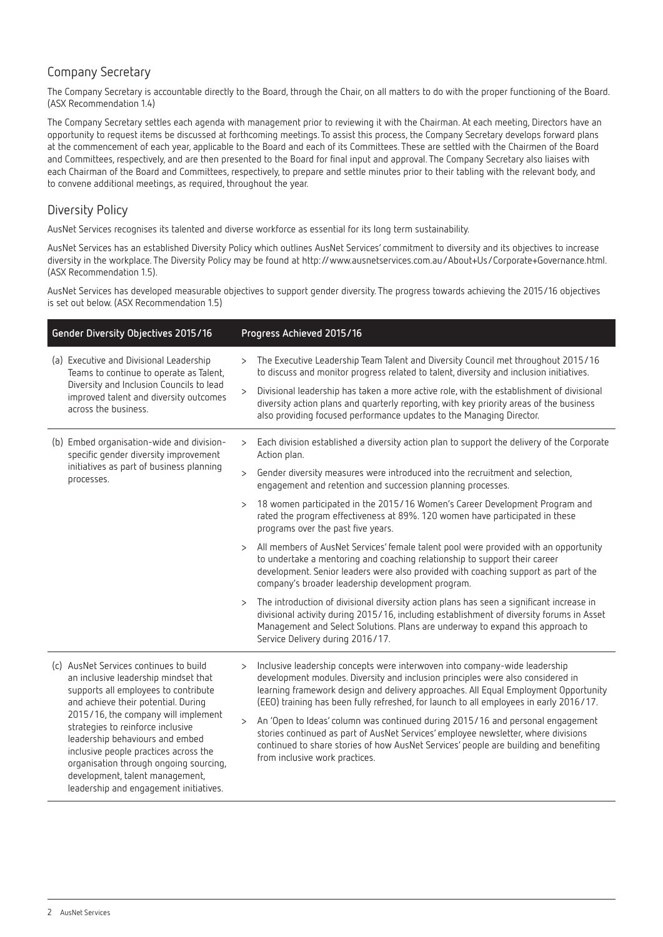### Company Secretary

The Company Secretary is accountable directly to the Board, through the Chair, on all matters to do with the proper functioning of the Board. (ASX Recommendation 1.4)

The Company Secretary settles each agenda with management prior to reviewing it with the Chairman. At each meeting, Directors have an opportunity to request items be discussed at forthcoming meetings. To assist this process, the Company Secretary develops forward plans at the commencement of each year, applicable to the Board and each of its Committees. These are settled with the Chairmen of the Board and Committees, respectively, and are then presented to the Board for final input and approval. The Company Secretary also liaises with each Chairman of the Board and Committees, respectively, to prepare and settle minutes prior to their tabling with the relevant body, and to convene additional meetings, as required, throughout the year.

### Diversity Policy

AusNet Services recognises its talented and diverse workforce as essential for its long term sustainability.

AusNet Services has an established Diversity Policy which outlines AusNet Services' commitment to diversity and its objectives to increase diversity in the workplace. The Diversity Policy may be found at http://www.ausnetservices.com.au/About+Us/Corporate+Governance.html. (ASX Recommendation 1.5).

AusNet Services has developed measurable objectives to support gender diversity. The progress towards achieving the 2015/16 objectives is set out below. (ASX Recommendation 1.5)

|  | Gender Diversity Objectives 2015/16                                                                                                                                                                                                                                         |        | Progress Achieved 2015/16                                                                                                                                                                                                                                                                                                                      |
|--|-----------------------------------------------------------------------------------------------------------------------------------------------------------------------------------------------------------------------------------------------------------------------------|--------|------------------------------------------------------------------------------------------------------------------------------------------------------------------------------------------------------------------------------------------------------------------------------------------------------------------------------------------------|
|  | (a) Executive and Divisional Leadership<br>Teams to continue to operate as Talent,                                                                                                                                                                                          | $\geq$ | The Executive Leadership Team Talent and Diversity Council met throughout 2015/16<br>to discuss and monitor progress related to talent, diversity and inclusion initiatives.                                                                                                                                                                   |
|  | Diversity and Inclusion Councils to lead<br>improved talent and diversity outcomes<br>across the business.                                                                                                                                                                  | $\geq$ | Divisional leadership has taken a more active role, with the establishment of divisional<br>diversity action plans and quarterly reporting, with key priority areas of the business<br>also providing focused performance updates to the Managing Director.                                                                                    |
|  | (b) Embed organisation-wide and division-<br>specific gender diversity improvement                                                                                                                                                                                          | $\geq$ | Each division established a diversity action plan to support the delivery of the Corporate<br>Action plan.                                                                                                                                                                                                                                     |
|  | initiatives as part of business planning<br>processes.                                                                                                                                                                                                                      | $\geq$ | Gender diversity measures were introduced into the recruitment and selection,<br>engagement and retention and succession planning processes.                                                                                                                                                                                                   |
|  |                                                                                                                                                                                                                                                                             | $\geq$ | 18 women participated in the 2015/16 Women's Career Development Program and<br>rated the program effectiveness at 89%. 120 women have participated in these<br>programs over the past five years.                                                                                                                                              |
|  |                                                                                                                                                                                                                                                                             | $\geq$ | All members of AusNet Services' female talent pool were provided with an opportunity<br>to undertake a mentoring and coaching relationship to support their career<br>development. Senior leaders were also provided with coaching support as part of the<br>company's broader leadership development program.                                 |
|  |                                                                                                                                                                                                                                                                             | $\geq$ | The introduction of divisional diversity action plans has seen a significant increase in<br>divisional activity during 2015/16, including establishment of diversity forums in Asset<br>Management and Select Solutions. Plans are underway to expand this approach to<br>Service Delivery during 2016/17.                                     |
|  | (c) AusNet Services continues to build<br>an inclusive leadership mindset that<br>supports all employees to contribute<br>and achieve their potential. During                                                                                                               | $\geq$ | Inclusive leadership concepts were interwoven into company-wide leadership<br>development modules. Diversity and inclusion principles were also considered in<br>learning framework design and delivery approaches. All Equal Employment Opportunity<br>(EEO) training has been fully refreshed, for launch to all employees in early 2016/17. |
|  | 2015/16, the company will implement<br>strategies to reinforce inclusive<br>leadership behaviours and embed<br>inclusive people practices across the<br>organisation through ongoing sourcing,<br>development, talent management,<br>leadership and engagement initiatives. | $\geq$ | An 'Open to Ideas' column was continued during 2015/16 and personal engagement<br>stories continued as part of AusNet Services' employee newsletter, where divisions<br>continued to share stories of how AusNet Services' people are building and benefiting<br>from inclusive work practices.                                                |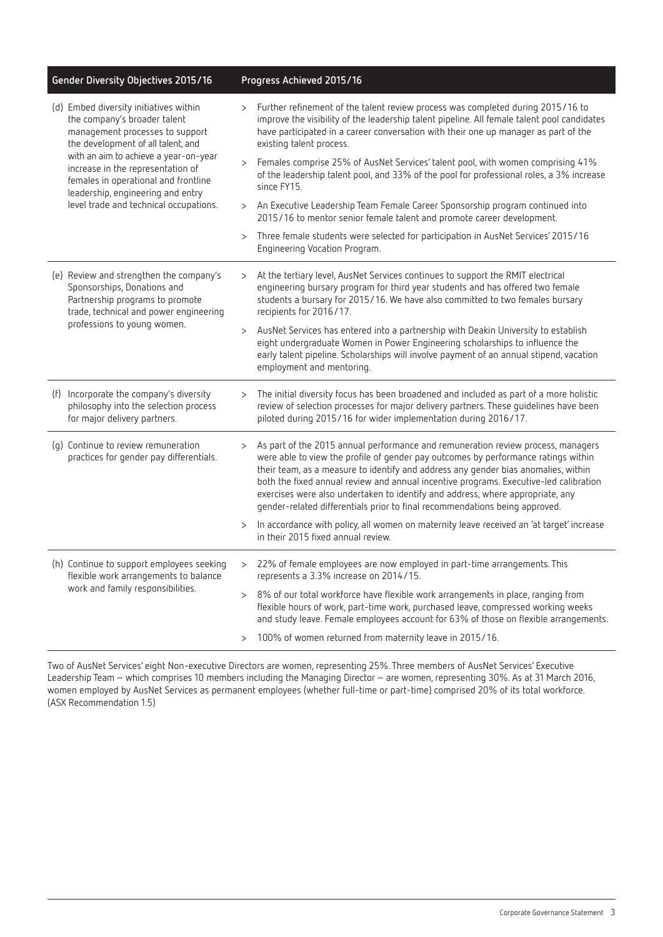| Gender Diversity Objectives 2015/16                                                                                                                     | Progress Achieved 2015/16                                                                                                                                                                                                                                                                                                                                                                                                                                                                                                        |  |  |
|---------------------------------------------------------------------------------------------------------------------------------------------------------|----------------------------------------------------------------------------------------------------------------------------------------------------------------------------------------------------------------------------------------------------------------------------------------------------------------------------------------------------------------------------------------------------------------------------------------------------------------------------------------------------------------------------------|--|--|
| (d) Embed diversity initiatives within<br>the company's broader talent<br>management processes to support<br>the development of all talent, and         | Further refinement of the talent review process was completed during 2015/16 to<br>$\geq$<br>improve the visibility of the leadership talent pipeline. All female talent pool candidates<br>have participated in a career conversation with their one up manager as part of the<br>existing talent process.                                                                                                                                                                                                                      |  |  |
| with an aim to achieve a year-on-year<br>increase in the representation of<br>females in operational and frontline<br>leadership, engineering and entry | Females comprise 25% of AusNet Services' talent pool, with women comprising 41%<br>$\geq$<br>of the leadership talent pool, and 33% of the pool for professional roles, a 3% increase<br>since FY15.                                                                                                                                                                                                                                                                                                                             |  |  |
| level trade and technical occupations.                                                                                                                  | An Executive Leadership Team Female Career Sponsorship program continued into<br>$\geq$<br>2015/16 to mentor senior female talent and promote career development.                                                                                                                                                                                                                                                                                                                                                                |  |  |
|                                                                                                                                                         | Three female students were selected for participation in AusNet Services' 2015/16<br>$\mathbf{L}$<br>Engineering Vocation Program.                                                                                                                                                                                                                                                                                                                                                                                               |  |  |
| (e) Review and strengthen the company's<br>Sponsorships, Donations and<br>Partnership programs to promote<br>trade, technical and power engineering     | At the tertiary level, AusNet Services continues to support the RMIT electrical<br>$\geq$<br>engineering bursary program for third year students and has offered two female<br>students a bursary for 2015/16. We have also committed to two females bursary<br>recipients for 2016/17.                                                                                                                                                                                                                                          |  |  |
| professions to young women.                                                                                                                             | AusNet Services has entered into a partnership with Deakin University to establish<br>$\rm{>}$<br>eight undergraduate Women in Power Engineering scholarships to influence the<br>early talent pipeline. Scholarships will involve payment of an annual stipend, vacation<br>employment and mentoring.                                                                                                                                                                                                                           |  |  |
| (f) Incorporate the company's diversity<br>philosophy into the selection process<br>for major delivery partners.                                        | The initial diversity focus has been broadened and included as part of a more holistic<br>$\rm{>}$<br>review of selection processes for major delivery partners. These guidelines have been<br>piloted during 2015/16 for wider implementation during 2016/17.                                                                                                                                                                                                                                                                   |  |  |
| (g) Continue to review remuneration<br>practices for gender pay differentials.                                                                          | As part of the 2015 annual performance and remuneration review process, managers<br>$\geq$<br>were able to view the profile of gender pay outcomes by performance ratings within<br>their team, as a measure to identify and address any gender bias anomalies, within<br>both the fixed annual review and annual incentive programs. Executive-led calibration<br>exercises were also undertaken to identify and address, where appropriate, any<br>gender-related differentials prior to final recommendations being approved. |  |  |
|                                                                                                                                                         | In accordance with policy, all women on maternity leave received an 'at target' increase<br>$\rm{>}$<br>in their 2015 fixed annual review.                                                                                                                                                                                                                                                                                                                                                                                       |  |  |
| (h) Continue to support employees seeking<br>flexible work arrangements to balance                                                                      | 22% of female employees are now employed in part-time arrangements. This<br>$\rm{>}$<br>represents a 3.3% increase on 2014/15.                                                                                                                                                                                                                                                                                                                                                                                                   |  |  |
| work and family responsibilities.                                                                                                                       | 8% of our total workforce have flexible work arrangements in place, ranging from<br>$\geq$<br>flexible hours of work, part-time work, purchased leave, compressed working weeks<br>and study leave. Female employees account for 63% of those on flexible arrangements.                                                                                                                                                                                                                                                          |  |  |
|                                                                                                                                                         | 100% of women returned from maternity leave in 2015/16.<br>$\geq$                                                                                                                                                                                                                                                                                                                                                                                                                                                                |  |  |

Two of AusNet Services' eight Non-executive Directors are women, representing 25%. Three members of AusNet Services' Executive Leadership Team – which comprises 10 members including the Managing Director – are women, representing 30%. As at 31 March 2016, women employed by AusNet Services as permanent employees (whether full-time or part-time) comprised 20% of its total workforce. (ASX Recommendation 1.5)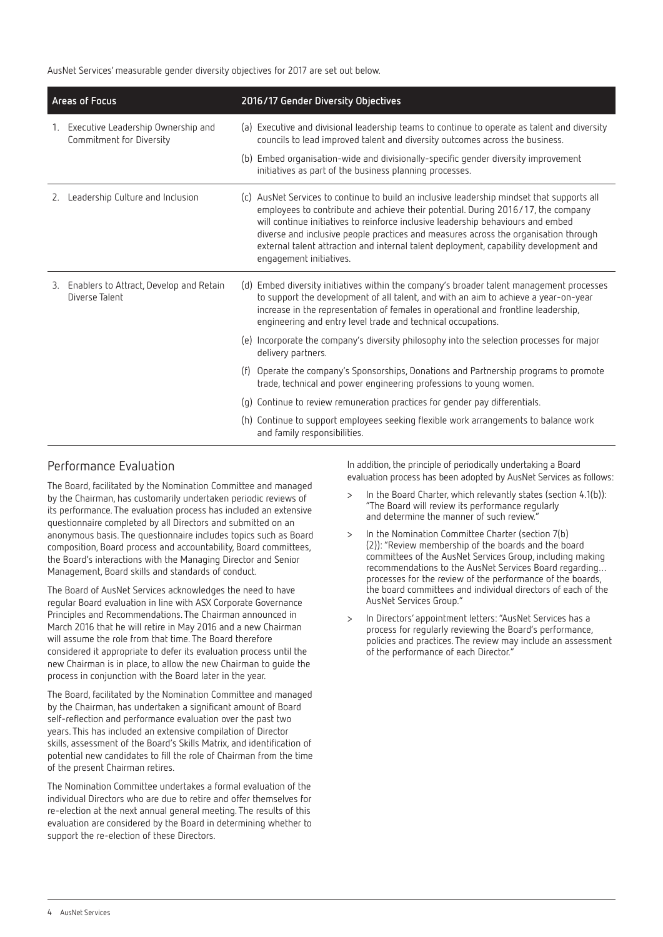AusNet Services' measurable gender diversity objectives for 2017 are set out below.

| Areas of Focus |                                                                   | 2016/17 Gender Diversity Objectives |                                                                                                                                                                                                                                                                                                                                                                                                                                                                               |  |
|----------------|-------------------------------------------------------------------|-------------------------------------|-------------------------------------------------------------------------------------------------------------------------------------------------------------------------------------------------------------------------------------------------------------------------------------------------------------------------------------------------------------------------------------------------------------------------------------------------------------------------------|--|
|                | 1. Executive Leadership Ownership and<br>Commitment for Diversity |                                     | (a) Executive and divisional leadership teams to continue to operate as talent and diversity<br>councils to lead improved talent and diversity outcomes across the business.                                                                                                                                                                                                                                                                                                  |  |
|                |                                                                   |                                     | (b) Embed organisation-wide and divisionally-specific gender diversity improvement<br>initiatives as part of the business planning processes.                                                                                                                                                                                                                                                                                                                                 |  |
|                | 2. Leadership Culture and Inclusion                               |                                     | (c) AusNet Services to continue to build an inclusive leadership mindset that supports all<br>employees to contribute and achieve their potential. During 2016/17, the company<br>will continue initiatives to reinforce inclusive leadership behaviours and embed<br>diverse and inclusive people practices and measures across the organisation through<br>external talent attraction and internal talent deployment, capability development and<br>engagement initiatives. |  |
|                | 3. Enablers to Attract, Develop and Retain<br>Diverse Talent      |                                     | (d) Embed diversity initiatives within the company's broader talent management processes<br>to support the development of all talent, and with an aim to achieve a year-on-year<br>increase in the representation of females in operational and frontline leadership,<br>engineering and entry level trade and technical occupations.                                                                                                                                         |  |
|                |                                                                   |                                     | (e) Incorporate the company's diversity philosophy into the selection processes for major<br>delivery partners.                                                                                                                                                                                                                                                                                                                                                               |  |
|                |                                                                   |                                     | (f) Operate the company's Sponsorships, Donations and Partnership programs to promote<br>trade, technical and power engineering professions to young women.                                                                                                                                                                                                                                                                                                                   |  |
|                |                                                                   |                                     | (g) Continue to review remuneration practices for gender pay differentials.                                                                                                                                                                                                                                                                                                                                                                                                   |  |
|                |                                                                   |                                     | (h) Continue to support employees seeking flexible work arrangements to balance work<br>and family responsibilities.                                                                                                                                                                                                                                                                                                                                                          |  |

#### Performance Evaluation

The Board, facilitated by the Nomination Committee and managed by the Chairman, has customarily undertaken periodic reviews of its performance. The evaluation process has included an extensive questionnaire completed by all Directors and submitted on an anonymous basis. The questionnaire includes topics such as Board composition, Board process and accountability, Board committees, the Board's interactions with the Managing Director and Senior Management, Board skills and standards of conduct.

The Board of AusNet Services acknowledges the need to have regular Board evaluation in line with ASX Corporate Governance Principles and Recommendations. The Chairman announced in March 2016 that he will retire in May 2016 and a new Chairman will assume the role from that time. The Board therefore considered it appropriate to defer its evaluation process until the new Chairman is in place, to allow the new Chairman to guide the process in conjunction with the Board later in the year.

The Board, facilitated by the Nomination Committee and managed by the Chairman, has undertaken a significant amount of Board self-reflection and performance evaluation over the past two years. This has included an extensive compilation of Director skills, assessment of the Board's Skills Matrix, and identification of potential new candidates to fill the role of Chairman from the time of the present Chairman retires.

The Nomination Committee undertakes a formal evaluation of the individual Directors who are due to retire and offer themselves for re-election at the next annual general meeting. The results of this evaluation are considered by the Board in determining whether to support the re-election of these Directors.

In addition, the principle of periodically undertaking a Board evaluation process has been adopted by AusNet Services as follows:

- > In the Board Charter, which relevantly states (section 4.1(b)): "The Board will review its performance regularly and determine the manner of such review."
- In the Nomination Committee Charter (section 7(b) (2)): "Review membership of the boards and the board committees of the AusNet Services Group, including making recommendations to the AusNet Services Board regarding… processes for the review of the performance of the boards, the board committees and individual directors of each of the AusNet Services Group."
- > In Directors' appointment letters: "AusNet Services has a process for regularly reviewing the Board's performance, policies and practices. The review may include an assessment of the performance of each Director."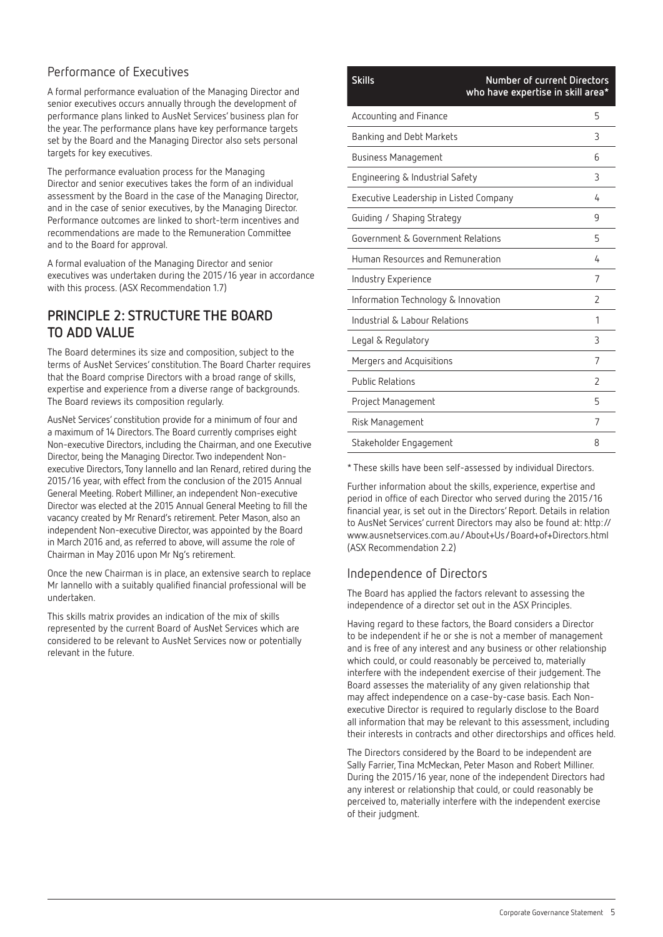### Performance of Executives

A formal performance evaluation of the Managing Director and senior executives occurs annually through the development of performance plans linked to AusNet Services' business plan for the year. The performance plans have key performance targets set by the Board and the Managing Director also sets personal targets for key executives.

The performance evaluation process for the Managing Director and senior executives takes the form of an individual assessment by the Board in the case of the Managing Director, and in the case of senior executives, by the Managing Director. Performance outcomes are linked to short-term incentives and recommendations are made to the Remuneration Committee and to the Board for approval.

A formal evaluation of the Managing Director and senior executives was undertaken during the 2015/16 year in accordance with this process. (ASX Recommendation 1.7)

### **PRINCIPLE 2: STRUCTURE THE BOARD TO ADD VALUE**

The Board determines its size and composition, subject to the terms of AusNet Services' constitution. The Board Charter requires that the Board comprise Directors with a broad range of skills, expertise and experience from a diverse range of backgrounds. The Board reviews its composition regularly.

AusNet Services' constitution provide for a minimum of four and a maximum of 14 Directors. The Board currently comprises eight Non-executive Directors, including the Chairman, and one Executive Director, being the Managing Director. Two independent Nonexecutive Directors, Tony Iannello and Ian Renard, retired during the 2015/16 year, with effect from the conclusion of the 2015 Annual General Meeting. Robert Milliner, an independent Non-executive Director was elected at the 2015 Annual General Meeting to fill the vacancy created by Mr Renard's retirement. Peter Mason, also an independent Non-executive Director, was appointed by the Board in March 2016 and, as referred to above, will assume the role of Chairman in May 2016 upon Mr Ng's retirement.

Once the new Chairman is in place, an extensive search to replace Mr Iannello with a suitably qualified financial professional will be undertaken.

This skills matrix provides an indication of the mix of skills represented by the current Board of AusNet Services which are considered to be relevant to AusNet Services now or potentially relevant in the future.

# **Skills Number of current Directors who have expertise in skill area\*** Accounting and Finance 5 Banking and Debt Markets 3 Business Management 6 Engineering & Industrial Safety 3 Executive Leadership in Listed Company 4 Guiding / Shaping Strategy 9 Government & Government Relations 5 Human Resources and Remuneration 4 Industry Experience 7 Information Technology & Innovation 2 Industrial & Labour Relations 1 Legal & Regulatory 3 Mergers and Acquisitions 7 Public Relations 2 Project Management 5

\* These skills have been self-assessed by individual Directors.

Risk Management 7 Stakeholder Engagement 8

Further information about the skills, experience, expertise and period in office of each Director who served during the 2015/16 financial year, is set out in the Directors' Report. Details in relation to AusNet Services' current Directors may also be found at: http:// www.ausnetservices.com.au/About+Us/Board+of+Directors.html (ASX Recommendation 2.2)

### Independence of Directors

The Board has applied the factors relevant to assessing the independence of a director set out in the ASX Principles.

Having regard to these factors, the Board considers a Director to be independent if he or she is not a member of management and is free of any interest and any business or other relationship which could, or could reasonably be perceived to, materially interfere with the independent exercise of their judgement. The Board assesses the materiality of any given relationship that may affect independence on a case-by-case basis. Each Nonexecutive Director is required to regularly disclose to the Board all information that may be relevant to this assessment, including their interests in contracts and other directorships and offices held.

The Directors considered by the Board to be independent are Sally Farrier, Tina McMeckan, Peter Mason and Robert Milliner. During the 2015/16 year, none of the independent Directors had any interest or relationship that could, or could reasonably be perceived to, materially interfere with the independent exercise of their judgment.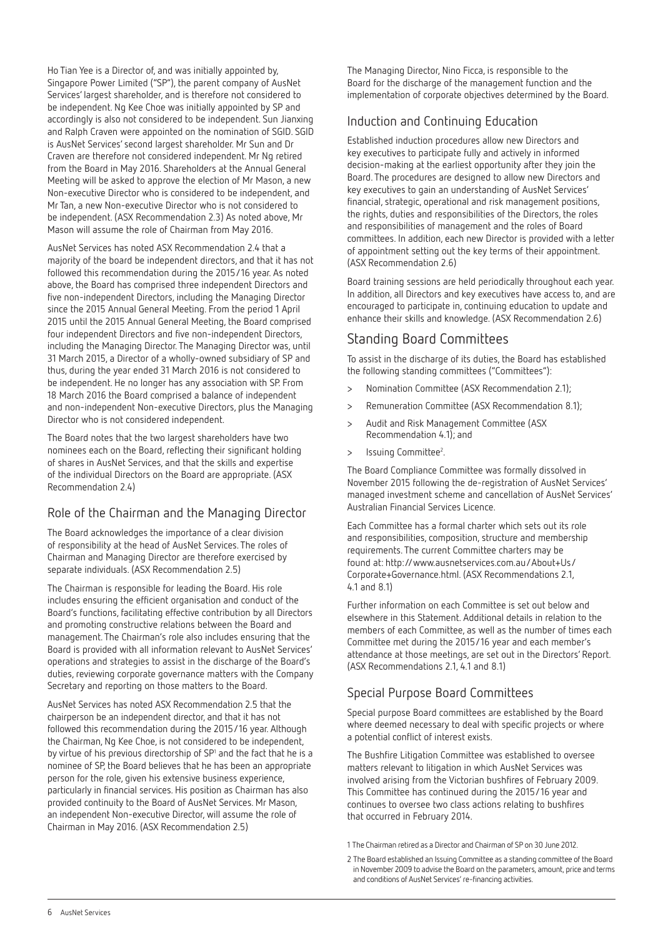Ho Tian Yee is a Director of, and was initially appointed by, Singapore Power Limited ("SP"), the parent company of AusNet Services' largest shareholder, and is therefore not considered to be independent. Ng Kee Choe was initially appointed by SP and accordingly is also not considered to be independent. Sun Jianxing and Ralph Craven were appointed on the nomination of SGID. SGID is AusNet Services' second largest shareholder. Mr Sun and Dr Craven are therefore not considered independent. Mr Ng retired from the Board in May 2016. Shareholders at the Annual General Meeting will be asked to approve the election of Mr Mason, a new Non-executive Director who is considered to be independent, and Mr Tan, a new Non-executive Director who is not considered to be independent. (ASX Recommendation 2.3) As noted above, Mr Mason will assume the role of Chairman from May 2016.

AusNet Services has noted ASX Recommendation 2.4 that a majority of the board be independent directors, and that it has not followed this recommendation during the 2015/16 year. As noted above, the Board has comprised three independent Directors and five non-independent Directors, including the Managing Director since the 2015 Annual General Meeting. From the period 1 April 2015 until the 2015 Annual General Meeting, the Board comprised four independent Directors and five non-independent Directors, including the Managing Director. The Managing Director was, until 31 March 2015, a Director of a wholly-owned subsidiary of SP and thus, during the year ended 31 March 2016 is not considered to be independent. He no longer has any association with SP. From 18 March 2016 the Board comprised a balance of independent and non-independent Non-executive Directors, plus the Managing Director who is not considered independent.

The Board notes that the two largest shareholders have two nominees each on the Board, reflecting their significant holding of shares in AusNet Services, and that the skills and expertise of the individual Directors on the Board are appropriate. (ASX Recommendation 2.4)

### Role of the Chairman and the Managing Director

The Board acknowledges the importance of a clear division of responsibility at the head of AusNet Services. The roles of Chairman and Managing Director are therefore exercised by separate individuals. (ASX Recommendation 2.5)

The Chairman is responsible for leading the Board. His role includes ensuring the efficient organisation and conduct of the Board's functions, facilitating effective contribution by all Directors and promoting constructive relations between the Board and management. The Chairman's role also includes ensuring that the Board is provided with all information relevant to AusNet Services' operations and strategies to assist in the discharge of the Board's duties, reviewing corporate governance matters with the Company Secretary and reporting on those matters to the Board.

AusNet Services has noted ASX Recommendation 2.5 that the chairperson be an independent director, and that it has not followed this recommendation during the 2015/16 year. Although the Chairman, Ng Kee Choe, is not considered to be independent, by virtue of his previous directorship of SP<sup>1</sup> and the fact that he is a nominee of SP, the Board believes that he has been an appropriate person for the role, given his extensive business experience, particularly in financial services. His position as Chairman has also provided continuity to the Board of AusNet Services. Mr Mason, an independent Non-executive Director, will assume the role of Chairman in May 2016. (ASX Recommendation 2.5)

The Managing Director, Nino Ficca, is responsible to the Board for the discharge of the management function and the implementation of corporate objectives determined by the Board.

### Induction and Continuing Education

Established induction procedures allow new Directors and key executives to participate fully and actively in informed decision-making at the earliest opportunity after they join the Board. The procedures are designed to allow new Directors and key executives to gain an understanding of AusNet Services' financial, strategic, operational and risk management positions, the rights, duties and responsibilities of the Directors, the roles and responsibilities of management and the roles of Board committees. In addition, each new Director is provided with a letter of appointment setting out the key terms of their appointment. (ASX Recommendation 2.6)

Board training sessions are held periodically throughout each year. In addition, all Directors and key executives have access to, and are encouraged to participate in, continuing education to update and enhance their skills and knowledge. (ASX Recommendation 2.6)

### Standing Board Committees

To assist in the discharge of its duties, the Board has established the following standing committees ("Committees"):

- > Nomination Committee (ASX Recommendation 2.1);
- > Remuneration Committee (ASX Recommendation 8.1);
- > Audit and Risk Management Committee (ASX Recommendation 4.1); and
- > Issuing Committee<sup>2</sup>.

The Board Compliance Committee was formally dissolved in November 2015 following the de-registration of AusNet Services' managed investment scheme and cancellation of AusNet Services' Australian Financial Services Licence.

Each Committee has a formal charter which sets out its role and responsibilities, composition, structure and membership requirements. The current Committee charters may be found at: http://www.ausnetservices.com.au/About+Us/ Corporate+Governance.html. (ASX Recommendations 2.1, 4.1 and 8.1)

Further information on each Committee is set out below and elsewhere in this Statement. Additional details in relation to the members of each Committee, as well as the number of times each Committee met during the 2015/16 year and each member's attendance at those meetings, are set out in the Directors' Report. (ASX Recommendations 2.1, 4.1 and 8.1)

### Special Purpose Board Committees

Special purpose Board committees are established by the Board where deemed necessary to deal with specific projects or where a potential conflict of interest exists.

The Bushfire Litigation Committee was established to oversee matters relevant to litigation in which AusNet Services was involved arising from the Victorian bushfires of February 2009. This Committee has continued during the 2015/16 year and continues to oversee two class actions relating to bushfires that occurred in February 2014.

1 The Chairman retired as a Director and Chairman of SP on 30 June 2012.

<sup>2</sup> The Board established an Issuing Committee as a standing committee of the Board in November 2009 to advise the Board on the parameters, amount, price and terms and conditions of AusNet Services' re-financing activities.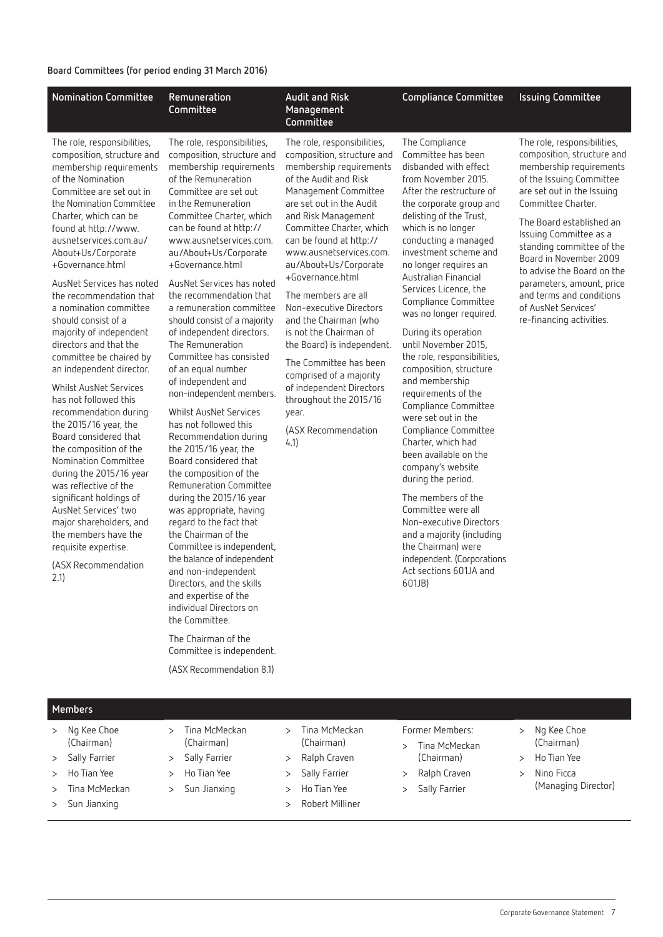#### **Board Committees (for period ending 31 March 2016)**

| <b>Nomination Committee</b>                                                                                                                                                                                                                                                                                                                                                                                                                                                                                                                                                                                                                                                                                                                                                                                                                                                                                         | Remuneration<br>Committee                                                                                                                                                                                                                                                                                                                                                                                                                                                                                                                                                                                                                                                                                                                                                                                                                                                                                                                                                                                                                                                                                                               | <b>Audit and Risk</b><br>Management<br>Committee                                                                                                                                                                                                                                                                                                                                                                                                                                                                                                                                                              | <b>Compliance Committee</b>                                                                                                                                                                                                                                                                                                                                                                                                                                                                                                                                                                                                                                                                                                                                                                                                                                                               | <b>Issuing Committee</b>                                                                                                                                                                                                                                                                                                                                                                                                    |
|---------------------------------------------------------------------------------------------------------------------------------------------------------------------------------------------------------------------------------------------------------------------------------------------------------------------------------------------------------------------------------------------------------------------------------------------------------------------------------------------------------------------------------------------------------------------------------------------------------------------------------------------------------------------------------------------------------------------------------------------------------------------------------------------------------------------------------------------------------------------------------------------------------------------|-----------------------------------------------------------------------------------------------------------------------------------------------------------------------------------------------------------------------------------------------------------------------------------------------------------------------------------------------------------------------------------------------------------------------------------------------------------------------------------------------------------------------------------------------------------------------------------------------------------------------------------------------------------------------------------------------------------------------------------------------------------------------------------------------------------------------------------------------------------------------------------------------------------------------------------------------------------------------------------------------------------------------------------------------------------------------------------------------------------------------------------------|---------------------------------------------------------------------------------------------------------------------------------------------------------------------------------------------------------------------------------------------------------------------------------------------------------------------------------------------------------------------------------------------------------------------------------------------------------------------------------------------------------------------------------------------------------------------------------------------------------------|-------------------------------------------------------------------------------------------------------------------------------------------------------------------------------------------------------------------------------------------------------------------------------------------------------------------------------------------------------------------------------------------------------------------------------------------------------------------------------------------------------------------------------------------------------------------------------------------------------------------------------------------------------------------------------------------------------------------------------------------------------------------------------------------------------------------------------------------------------------------------------------------|-----------------------------------------------------------------------------------------------------------------------------------------------------------------------------------------------------------------------------------------------------------------------------------------------------------------------------------------------------------------------------------------------------------------------------|
| The role, responsibilities,<br>composition, structure and<br>membership requirements<br>of the Nomination<br>Committee are set out in<br>the Nomination Committee<br>Charter, which can be<br>found at http://www.<br>ausnetservices.com.au/<br>About+Us/Corporate<br>+Governance.html<br>AusNet Services has noted<br>the recommendation that<br>a nomination committee<br>should consist of a<br>majority of independent<br>directors and that the<br>committee be chaired by<br>an independent director.<br><b>Whilst AusNet Services</b><br>has not followed this<br>recommendation during<br>the 2015/16 year, the<br>Board considered that<br>the composition of the<br>Nomination Committee<br>during the 2015/16 year<br>was reflective of the<br>significant holdings of<br>AusNet Services' two<br>major shareholders, and<br>the members have the<br>requisite expertise.<br>(ASX Recommendation<br>2.1) | The role, responsibilities,<br>composition, structure and<br>membership requirements<br>of the Remuneration<br>Committee are set out<br>in the Remuneration<br>Committee Charter, which<br>can be found at http://<br>www.ausnetservices.com.<br>au/About+Us/Corporate<br>+Governance.html<br>AusNet Services has noted<br>the recommendation that<br>a remuneration committee<br>should consist of a majority<br>of independent directors.<br>The Remuneration<br>Committee has consisted<br>of an equal number<br>of independent and<br>non-independent members.<br><b>Whilst AusNet Services</b><br>has not followed this<br>Recommendation during<br>the 2015/16 year, the<br>Board considered that<br>the composition of the<br>Remuneration Committee<br>during the 2015/16 year<br>was appropriate, having<br>regard to the fact that<br>the Chairman of the<br>Committee is independent,<br>the balance of independent<br>and non-independent<br>Directors, and the skills<br>and expertise of the<br>individual Directors on<br>the Committee.<br>The Chairman of the<br>Committee is independent.<br>(ASX Recommendation 8.1) | The role, responsibilities,<br>composition, structure and<br>membership requirements<br>of the Audit and Risk<br>Management Committee<br>are set out in the Audit<br>and Risk Management<br>Committee Charter, which<br>can be found at http://<br>www.ausnetservices.com.<br>au/About+Us/Corporate<br>+Governance.html<br>The members are all<br>Non-executive Directors<br>and the Chairman (who<br>is not the Chairman of<br>the Board) is independent.<br>The Committee has been<br>comprised of a majority<br>of independent Directors<br>throughout the 2015/16<br>year.<br>(ASX Recommendation<br>4.1) | The Compliance<br>Committee has been<br>disbanded with effect<br>from November 2015.<br>After the restructure of<br>the corporate group and<br>delisting of the Trust,<br>which is no longer<br>conducting a managed<br>investment scheme and<br>no longer requires an<br>Australian Financial<br>Services Licence, the<br>Compliance Committee<br>was no longer required.<br>During its operation<br>until November 2015,<br>the role, responsibilities,<br>composition, structure<br>and membership<br>requirements of the<br>Compliance Committee<br>were set out in the<br>Compliance Committee<br>Charter, which had<br>been available on the<br>company's website<br>during the period.<br>The members of the<br>Committee were all<br>Non-executive Directors<br>and a majority (including<br>the Chairman) were<br>independent. (Corporations<br>Act sections 601JA and<br>601JB) | The role, responsibilities,<br>composition, structure and<br>membership requirements<br>of the Issuing Committee<br>are set out in the Issuing<br>Committee Charter.<br>The Board established an<br>Issuing Committee as a<br>standing committee of the<br>Board in November 2009<br>to advise the Board on the<br>parameters, amount, price<br>and terms and conditions<br>of AusNet Services'<br>re-financing activities. |

#### **Members**

- > Ng Kee Choe (Chairman)
- > Sally Farrier
- > Ho Tian Yee
- > Tina McMeckan
- > Sun Jianxing
- > Tina McMeckan (Chairman)
- > Sally Farrier > Ho Tian Yee
- 
- > Sun Jianxing
- > Ralph Craven > Sally Farrier
	- > Ho Tian Yee
		- > Robert Milliner

> Tina McMeckan (Chairman)

- Former Members:
- > Tina McMeckan (Chairman)
- > Ralph Craven
- > Sally Farrier
- > Ng Kee Choe (Chairman)
- > Ho Tian Yee
- > Nino Ficca
	- (Managing Director)

Corporate Governance Statement 7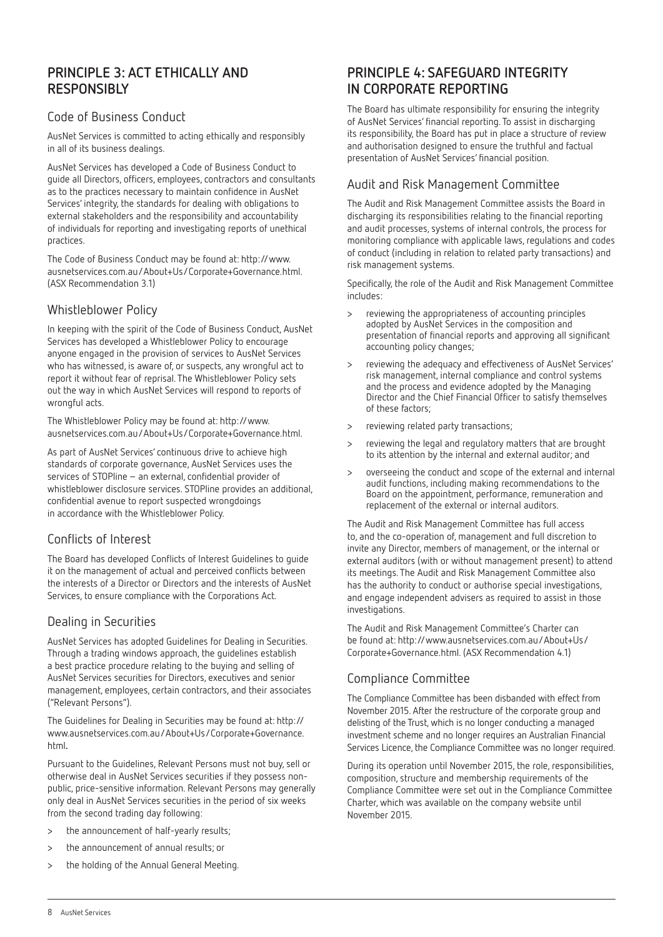### **PRINCIPLE 3: ACT ETHICALLY AND RESPONSIBLY**

#### Code of Business Conduct

AusNet Services is committed to acting ethically and responsibly in all of its business dealings.

AusNet Services has developed a Code of Business Conduct to guide all Directors, officers, employees, contractors and consultants as to the practices necessary to maintain confidence in AusNet Services' integrity, the standards for dealing with obligations to external stakeholders and the responsibility and accountability of individuals for reporting and investigating reports of unethical practices.

The Code of Business Conduct may be found at: http://www. ausnetservices.com.au/About+Us/Corporate+Governance.html. (ASX Recommendation 3.1)

#### Whistleblower Policy

In keeping with the spirit of the Code of Business Conduct, AusNet Services has developed a Whistleblower Policy to encourage anyone engaged in the provision of services to AusNet Services who has witnessed, is aware of, or suspects, any wrongful act to report it without fear of reprisal. The Whistleblower Policy sets out the way in which AusNet Services will respond to reports of wrongful acts.

The Whistleblower Policy may be found at: http://www. ausnetservices.com.au/About+Us/Corporate+Governance.html.

As part of AusNet Services' continuous drive to achieve high standards of corporate governance, AusNet Services uses the services of STOPline – an external, confidential provider of whistleblower disclosure services. STOPline provides an additional, confidential avenue to report suspected wrongdoings in accordance with the Whistleblower Policy.

### Conflicts of Interest

The Board has developed Conflicts of Interest Guidelines to guide it on the management of actual and perceived conflicts between the interests of a Director or Directors and the interests of AusNet Services, to ensure compliance with the Corporations Act.

#### Dealing in Securities

AusNet Services has adopted Guidelines for Dealing in Securities. Through a trading windows approach, the guidelines establish a best practice procedure relating to the buying and selling of AusNet Services securities for Directors, executives and senior management, employees, certain contractors, and their associates ("Relevant Persons").

The Guidelines for Dealing in Securities may be found at: http:// www.ausnetservices.com.au/About+Us/Corporate+Governance. html**.**

Pursuant to the Guidelines, Relevant Persons must not buy, sell or otherwise deal in AusNet Services securities if they possess nonpublic, price-sensitive information. Relevant Persons may generally only deal in AusNet Services securities in the period of six weeks from the second trading day following:

- > the announcement of half-yearly results;
- > the announcement of annual results; or
- > the holding of the Annual General Meeting.

### **PRINCIPLE 4: SAFEGUARD INTEGRITY IN CORPORATE REPORTING**

The Board has ultimate responsibility for ensuring the integrity of AusNet Services' financial reporting. To assist in discharging its responsibility, the Board has put in place a structure of review and authorisation designed to ensure the truthful and factual presentation of AusNet Services' financial position.

#### Audit and Risk Management Committee

The Audit and Risk Management Committee assists the Board in discharging its responsibilities relating to the financial reporting and audit processes, systems of internal controls, the process for monitoring compliance with applicable laws, regulations and codes of conduct (including in relation to related party transactions) and risk management systems.

Specifically, the role of the Audit and Risk Management Committee includes:

- > reviewing the appropriateness of accounting principles adopted by AusNet Services in the composition and presentation of financial reports and approving all significant accounting policy changes;
- > reviewing the adequacy and effectiveness of AusNet Services' risk management, internal compliance and control systems and the process and evidence adopted by the Managing Director and the Chief Financial Officer to satisfy themselves of these factors;
- > reviewing related party transactions;
- reviewing the legal and regulatory matters that are brought to its attention by the internal and external auditor; and
- > overseeing the conduct and scope of the external and internal audit functions, including making recommendations to the Board on the appointment, performance, remuneration and replacement of the external or internal auditors.

The Audit and Risk Management Committee has full access to, and the co-operation of, management and full discretion to invite any Director, members of management, or the internal or external auditors (with or without management present) to attend its meetings. The Audit and Risk Management Committee also has the authority to conduct or authorise special investigations, and engage independent advisers as required to assist in those investigations.

The Audit and Risk Management Committee's Charter can be found at: http://www.ausnetservices.com.au/About+Us/ Corporate+Governance.html. (ASX Recommendation 4.1)

### Compliance Committee

The Compliance Committee has been disbanded with effect from November 2015. After the restructure of the corporate group and delisting of the Trust, which is no longer conducting a managed investment scheme and no longer requires an Australian Financial Services Licence, the Compliance Committee was no longer required.

During its operation until November 2015, the role, responsibilities, composition, structure and membership requirements of the Compliance Committee were set out in the Compliance Committee Charter, which was available on the company website until November 2015.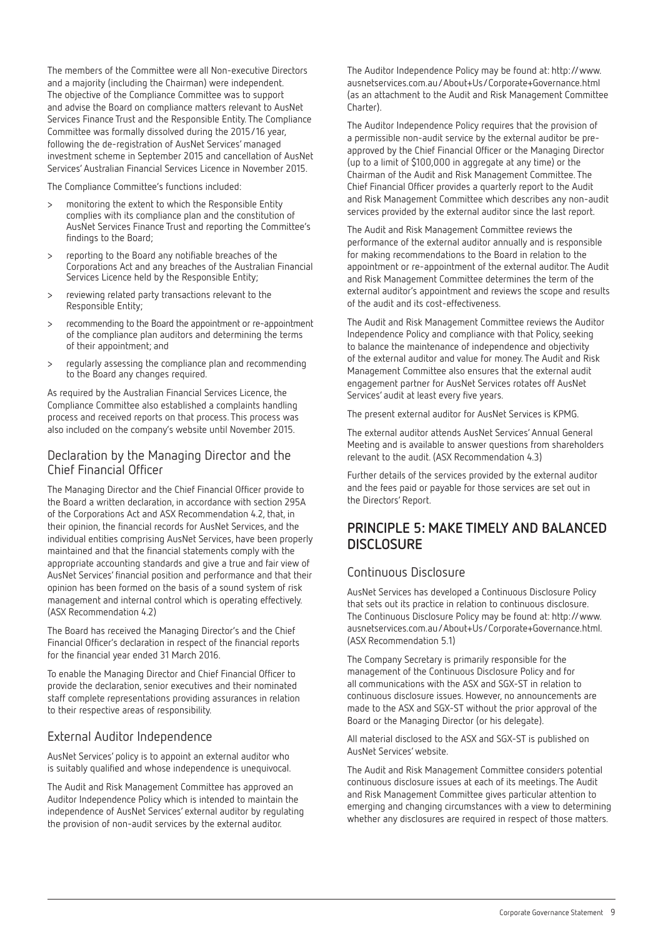The members of the Committee were all Non-executive Directors and a majority (including the Chairman) were independent. The objective of the Compliance Committee was to support and advise the Board on compliance matters relevant to AusNet Services Finance Trust and the Responsible Entity. The Compliance Committee was formally dissolved during the 2015/16 year, following the de-registration of AusNet Services' managed investment scheme in September 2015 and cancellation of AusNet Services' Australian Financial Services Licence in November 2015.

The Compliance Committee's functions included:

- > monitoring the extent to which the Responsible Entity complies with its compliance plan and the constitution of AusNet Services Finance Trust and reporting the Committee's findings to the Board;
- > reporting to the Board any notifiable breaches of the Corporations Act and any breaches of the Australian Financial Services Licence held by the Responsible Entity;
- > reviewing related party transactions relevant to the Responsible Entity;
- > recommending to the Board the appointment or re-appointment of the compliance plan auditors and determining the terms of their appointment; and
- > regularly assessing the compliance plan and recommending to the Board any changes required.

As required by the Australian Financial Services Licence, the Compliance Committee also established a complaints handling process and received reports on that process. This process was also included on the company's website until November 2015.

#### Declaration by the Managing Director and the Chief Financial Officer

The Managing Director and the Chief Financial Officer provide to the Board a written declaration, in accordance with section 295A of the Corporations Act and ASX Recommendation 4.2, that, in their opinion, the financial records for AusNet Services, and the individual entities comprising AusNet Services, have been properly maintained and that the financial statements comply with the appropriate accounting standards and give a true and fair view of AusNet Services' financial position and performance and that their opinion has been formed on the basis of a sound system of risk management and internal control which is operating effectively. (ASX Recommendation 4.2)

The Board has received the Managing Director's and the Chief Financial Officer's declaration in respect of the financial reports for the financial year ended 31 March 2016.

To enable the Managing Director and Chief Financial Officer to provide the declaration, senior executives and their nominated staff complete representations providing assurances in relation to their respective areas of responsibility.

#### External Auditor Independence

AusNet Services' policy is to appoint an external auditor who is suitably qualified and whose independence is unequivocal.

The Audit and Risk Management Committee has approved an Auditor Independence Policy which is intended to maintain the independence of AusNet Services' external auditor by regulating the provision of non-audit services by the external auditor.

The Auditor Independence Policy may be found at: http://www. ausnetservices.com.au/About+Us/Corporate+Governance.html (as an attachment to the Audit and Risk Management Committee Charter).

The Auditor Independence Policy requires that the provision of a permissible non-audit service by the external auditor be preapproved by the Chief Financial Officer or the Managing Director (up to a limit of \$100,000 in aggregate at any time) or the Chairman of the Audit and Risk Management Committee. The Chief Financial Officer provides a quarterly report to the Audit and Risk Management Committee which describes any non-audit services provided by the external auditor since the last report.

The Audit and Risk Management Committee reviews the performance of the external auditor annually and is responsible for making recommendations to the Board in relation to the appointment or re-appointment of the external auditor. The Audit and Risk Management Committee determines the term of the external auditor's appointment and reviews the scope and results of the audit and its cost-effectiveness.

The Audit and Risk Management Committee reviews the Auditor Independence Policy and compliance with that Policy, seeking to balance the maintenance of independence and objectivity of the external auditor and value for money. The Audit and Risk Management Committee also ensures that the external audit engagement partner for AusNet Services rotates off AusNet Services' audit at least every five years.

The present external auditor for AusNet Services is KPMG.

The external auditor attends AusNet Services' Annual General Meeting and is available to answer questions from shareholders relevant to the audit. (ASX Recommendation 4.3)

Further details of the services provided by the external auditor and the fees paid or payable for those services are set out in the Directors' Report.

### **PRINCIPLE 5: MAKE TIMELY AND BALANCED DISCLOSURE**

#### Continuous Disclosure

AusNet Services has developed a Continuous Disclosure Policy that sets out its practice in relation to continuous disclosure. The Continuous Disclosure Policy may be found at: http://www. ausnetservices.com.au/About+Us/Corporate+Governance.html. (ASX Recommendation 5.1)

The Company Secretary is primarily responsible for the management of the Continuous Disclosure Policy and for all communications with the ASX and SGX-ST in relation to continuous disclosure issues. However, no announcements are made to the ASX and SGX-ST without the prior approval of the Board or the Managing Director (or his delegate).

All material disclosed to the ASX and SGX-ST is published on AusNet Services' website.

The Audit and Risk Management Committee considers potential continuous disclosure issues at each of its meetings. The Audit and Risk Management Committee gives particular attention to emerging and changing circumstances with a view to determining whether any disclosures are required in respect of those matters.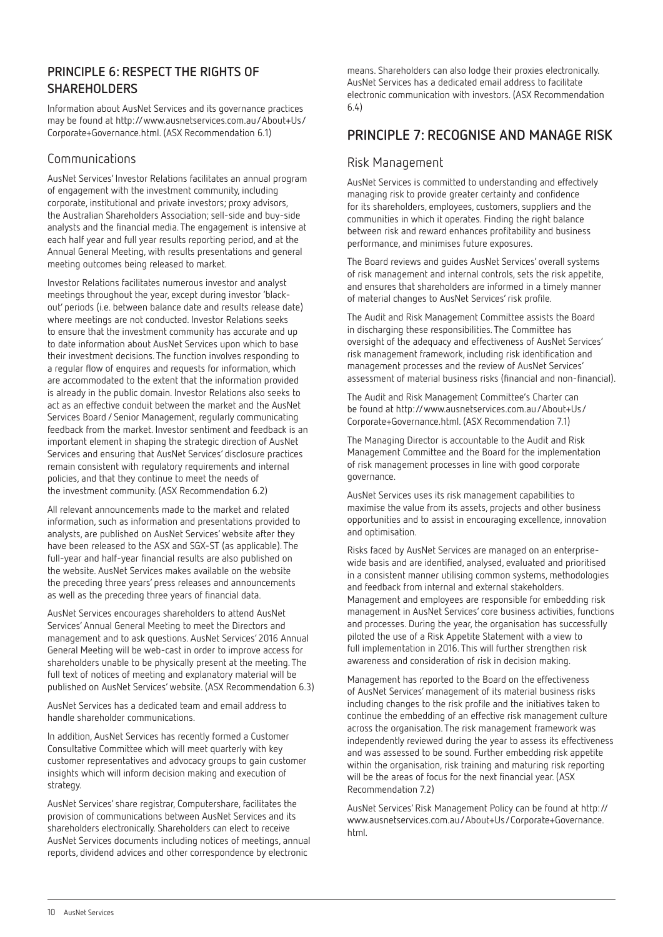### **PRINCIPLE 6: RESPECT THE RIGHTS OF SHAREHOLDERS**

Information about AusNet Services and its governance practices may be found at http://www.ausnetservices.com.au/About+Us/ Corporate+Governance.html. (ASX Recommendation 6.1)

### Communications

AusNet Services' Investor Relations facilitates an annual program of engagement with the investment community, including corporate, institutional and private investors; proxy advisors, the Australian Shareholders Association; sell-side and buy-side analysts and the financial media. The engagement is intensive at each half year and full year results reporting period, and at the Annual General Meeting, with results presentations and general meeting outcomes being released to market.

Investor Relations facilitates numerous investor and analyst meetings throughout the year, except during investor 'blackout' periods (i.e. between balance date and results release date) where meetings are not conducted. Investor Relations seeks to ensure that the investment community has accurate and up to date information about AusNet Services upon which to base their investment decisions. The function involves responding to a regular flow of enquires and requests for information, which are accommodated to the extent that the information provided is already in the public domain. Investor Relations also seeks to act as an effective conduit between the market and the AusNet Services Board / Senior Management, regularly communicating feedback from the market. Investor sentiment and feedback is an important element in shaping the strategic direction of AusNet Services and ensuring that AusNet Services' disclosure practices remain consistent with regulatory requirements and internal policies, and that they continue to meet the needs of the investment community. (ASX Recommendation 6.2)

All relevant announcements made to the market and related information, such as information and presentations provided to analysts, are published on AusNet Services' website after they have been released to the ASX and SGX-ST (as applicable). The full-year and half-year financial results are also published on the website. AusNet Services makes available on the website the preceding three years' press releases and announcements as well as the preceding three years of financial data.

AusNet Services encourages shareholders to attend AusNet Services' Annual General Meeting to meet the Directors and management and to ask questions. AusNet Services' 2016 Annual General Meeting will be web-cast in order to improve access for shareholders unable to be physically present at the meeting. The full text of notices of meeting and explanatory material will be published on AusNet Services' website. (ASX Recommendation 6.3)

AusNet Services has a dedicated team and email address to handle shareholder communications.

In addition, AusNet Services has recently formed a Customer Consultative Committee which will meet quarterly with key customer representatives and advocacy groups to gain customer insights which will inform decision making and execution of strategy.

AusNet Services' share registrar, Computershare, facilitates the provision of communications between AusNet Services and its shareholders electronically. Shareholders can elect to receive AusNet Services documents including notices of meetings, annual reports, dividend advices and other correspondence by electronic

means. Shareholders can also lodge their proxies electronically. AusNet Services has a dedicated email address to facilitate electronic communication with investors. (ASX Recommendation 6.4)

### **PRINCIPLE 7: RECOGNISE AND MANAGE RISK**

### Risk Management

AusNet Services is committed to understanding and effectively managing risk to provide greater certainty and confidence for its shareholders, employees, customers, suppliers and the communities in which it operates. Finding the right balance between risk and reward enhances profitability and business performance, and minimises future exposures.

The Board reviews and guides AusNet Services' overall systems of risk management and internal controls, sets the risk appetite, and ensures that shareholders are informed in a timely manner of material changes to AusNet Services' risk profile.

The Audit and Risk Management Committee assists the Board in discharging these responsibilities. The Committee has oversight of the adequacy and effectiveness of AusNet Services' risk management framework, including risk identification and management processes and the review of AusNet Services' assessment of material business risks (financial and non-financial).

The Audit and Risk Management Committee's Charter can be found at http://www.ausnetservices.com.au/About+Us/ Corporate+Governance.html. (ASX Recommendation 7.1)

The Managing Director is accountable to the Audit and Risk Management Committee and the Board for the implementation of risk management processes in line with good corporate governance.

AusNet Services uses its risk management capabilities to maximise the value from its assets, projects and other business opportunities and to assist in encouraging excellence, innovation and optimisation.

Risks faced by AusNet Services are managed on an enterprisewide basis and are identified, analysed, evaluated and prioritised in a consistent manner utilising common systems, methodologies and feedback from internal and external stakeholders. Management and employees are responsible for embedding risk management in AusNet Services' core business activities, functions and processes. During the year, the organisation has successfully piloted the use of a Risk Appetite Statement with a view to full implementation in 2016. This will further strengthen risk awareness and consideration of risk in decision making.

Management has reported to the Board on the effectiveness of AusNet Services' management of its material business risks including changes to the risk profile and the initiatives taken to continue the embedding of an effective risk management culture across the organisation. The risk management framework was independently reviewed during the year to assess its effectiveness and was assessed to be sound. Further embedding risk appetite within the organisation, risk training and maturing risk reporting will be the areas of focus for the next financial year. (ASX Recommendation 7.2)

AusNet Services' Risk Management Policy can be found at http:// www.ausnetservices.com.au/About+Us/Corporate+Governance. html.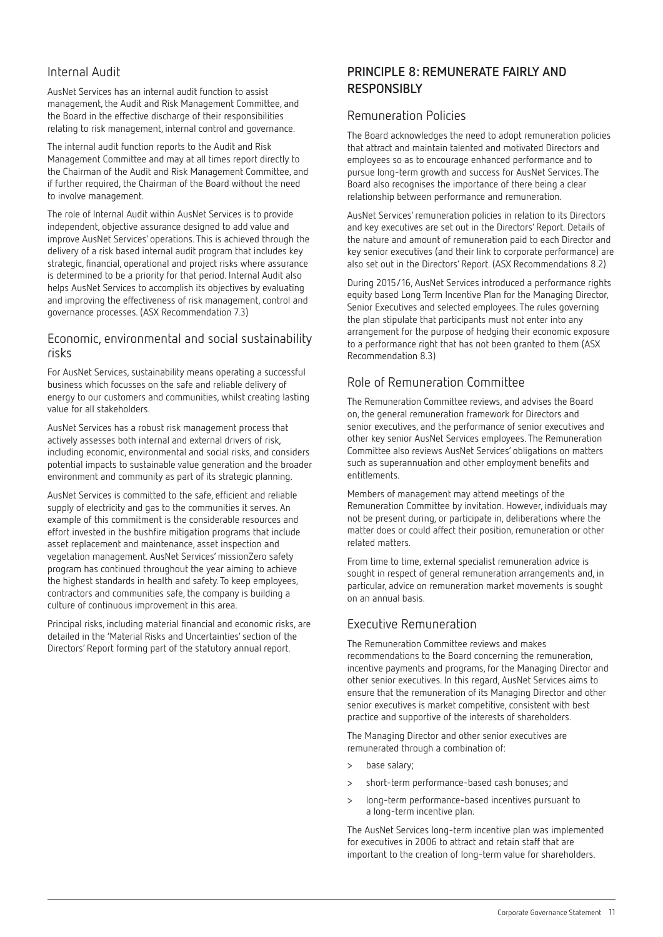#### Internal Audit

AusNet Services has an internal audit function to assist management, the Audit and Risk Management Committee, and the Board in the effective discharge of their responsibilities relating to risk management, internal control and governance.

The internal audit function reports to the Audit and Risk Management Committee and may at all times report directly to the Chairman of the Audit and Risk Management Committee, and if further required, the Chairman of the Board without the need to involve management.

The role of Internal Audit within AusNet Services is to provide independent, objective assurance designed to add value and improve AusNet Services' operations. This is achieved through the delivery of a risk based internal audit program that includes key strategic, financial, operational and project risks where assurance is determined to be a priority for that period. Internal Audit also helps AusNet Services to accomplish its objectives by evaluating and improving the effectiveness of risk management, control and governance processes. (ASX Recommendation 7.3)

#### Economic, environmental and social sustainability risks

For AusNet Services, sustainability means operating a successful business which focusses on the safe and reliable delivery of energy to our customers and communities, whilst creating lasting value for all stakeholders.

AusNet Services has a robust risk management process that actively assesses both internal and external drivers of risk, including economic, environmental and social risks, and considers potential impacts to sustainable value generation and the broader environment and community as part of its strategic planning.

AusNet Services is committed to the safe, efficient and reliable supply of electricity and gas to the communities it serves. An example of this commitment is the considerable resources and effort invested in the bushfire mitigation programs that include asset replacement and maintenance, asset inspection and vegetation management. AusNet Services' missionZero safety program has continued throughout the year aiming to achieve the highest standards in health and safety. To keep employees, contractors and communities safe, the company is building a culture of continuous improvement in this area.

Principal risks, including material financial and economic risks, are detailed in the 'Material Risks and Uncertainties' section of the Directors' Report forming part of the statutory annual report.

### **PRINCIPLE 8: REMUNERATE FAIRLY AND RESPONSIBLY**

#### Remuneration Policies

The Board acknowledges the need to adopt remuneration policies that attract and maintain talented and motivated Directors and employees so as to encourage enhanced performance and to pursue long-term growth and success for AusNet Services. The Board also recognises the importance of there being a clear relationship between performance and remuneration.

AusNet Services' remuneration policies in relation to its Directors and key executives are set out in the Directors' Report. Details of the nature and amount of remuneration paid to each Director and key senior executives (and their link to corporate performance) are also set out in the Directors' Report. (ASX Recommendations 8.2)

During 2015/16, AusNet Services introduced a performance rights equity based Long Term Incentive Plan for the Managing Director, Senior Executives and selected employees. The rules governing the plan stipulate that participants must not enter into any arrangement for the purpose of hedging their economic exposure to a performance right that has not been granted to them (ASX Recommendation 8.3)

### Role of Remuneration Committee

The Remuneration Committee reviews, and advises the Board on, the general remuneration framework for Directors and senior executives, and the performance of senior executives and other key senior AusNet Services employees. The Remuneration Committee also reviews AusNet Services' obligations on matters such as superannuation and other employment benefits and entitlements.

Members of management may attend meetings of the Remuneration Committee by invitation. However, individuals may not be present during, or participate in, deliberations where the matter does or could affect their position, remuneration or other related matters.

From time to time, external specialist remuneration advice is sought in respect of general remuneration arrangements and, in particular, advice on remuneration market movements is sought on an annual basis.

#### Executive Remuneration

The Remuneration Committee reviews and makes recommendations to the Board concerning the remuneration, incentive payments and programs, for the Managing Director and other senior executives. In this regard, AusNet Services aims to ensure that the remuneration of its Managing Director and other senior executives is market competitive, consistent with best practice and supportive of the interests of shareholders.

The Managing Director and other senior executives are remunerated through a combination of:

- > base salary;
- > short-term performance-based cash bonuses; and
- > long-term performance-based incentives pursuant to a long-term incentive plan.

The AusNet Services long-term incentive plan was implemented for executives in 2006 to attract and retain staff that are important to the creation of long-term value for shareholders.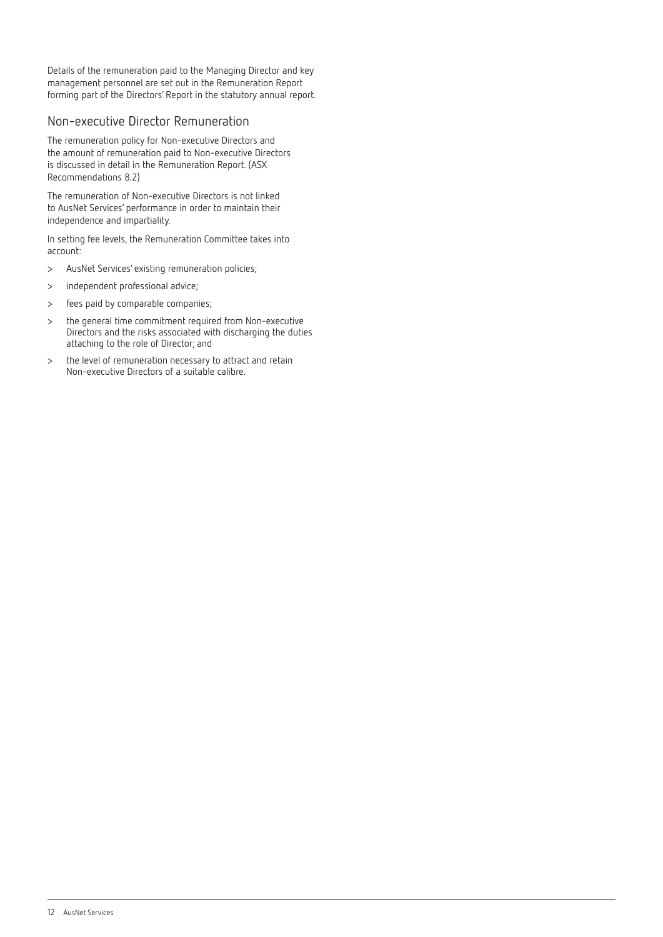Details of the remuneration paid to the Managing Director and key management personnel are set out in the Remuneration Report forming part of the Directors' Report in the statutory annual report.

#### Non-executive Director Remuneration

The remuneration policy for Non-executive Directors and the amount of remuneration paid to Non-executive Directors is discussed in detail in the Remuneration Report. (ASX Recommendations 8.2)

The remuneration of Non-executive Directors is not linked to AusNet Services' performance in order to maintain their independence and impartiality.

In setting fee levels, the Remuneration Committee takes into account:

- > AusNet Services' existing remuneration policies;
- > independent professional advice;
- > fees paid by comparable companies;
- > the general time commitment required from Non-executive Directors and the risks associated with discharging the duties attaching to the role of Director; and
- > the level of remuneration necessary to attract and retain Non-executive Directors of a suitable calibre.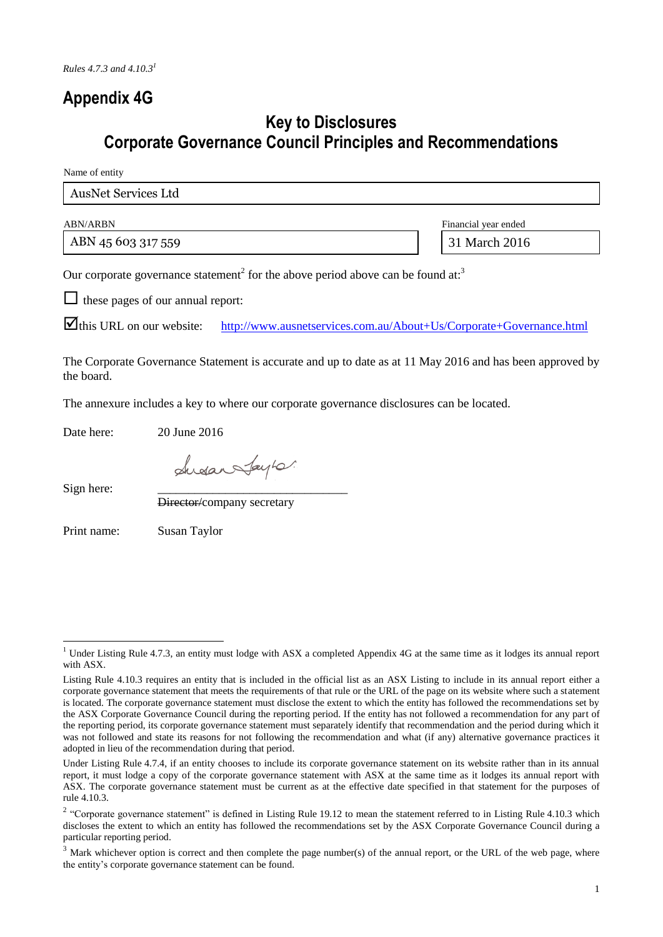# **Appendix 4G**

## **Key to Disclosures Corporate Governance Council Principles and Recommendations**

Name of entity

| <b>AusNet Services Ltd</b> |                      |
|----------------------------|----------------------|
| <b>ABN/ARBN</b>            | Financial year ended |

ABN 45 603 317 559 318 31 March 2016

Our corporate governance statement<sup>2</sup> for the above period above can be found at:<sup>3</sup>

 $\Box$  these pages of our annual report:

this URL on our website: <http://www.ausnetservices.com.au/About+Us/Corporate+Governance.html>

The Corporate Governance Statement is accurate and up to date as at 11 May 2016 and has been approved by the board.

The annexure includes a key to where our corporate governance disclosures can be located.

Date here: 20 June 2016

Ludan Jaylo.

Sign here:

-

Director/company secretary

Print name: Susan Taylor

<sup>&</sup>lt;sup>1</sup> Under Listing Rule 4.7.3, an entity must lodge with ASX a completed Appendix 4G at the same time as it lodges its annual report with ASX.

Listing Rule 4.10.3 requires an entity that is included in the official list as an ASX Listing to include in its annual report either a corporate governance statement that meets the requirements of that rule or the URL of the page on its website where such a statement is located. The corporate governance statement must disclose the extent to which the entity has followed the recommendations set by the ASX Corporate Governance Council during the reporting period. If the entity has not followed a recommendation for any part of the reporting period, its corporate governance statement must separately identify that recommendation and the period during which it was not followed and state its reasons for not following the recommendation and what (if any) alternative governance practices it adopted in lieu of the recommendation during that period.

Under Listing Rule 4.7.4, if an entity chooses to include its corporate governance statement on its website rather than in its annual report, it must lodge a copy of the corporate governance statement with ASX at the same time as it lodges its annual report with ASX. The corporate governance statement must be current as at the effective date specified in that statement for the purposes of rule 4.10.3.

<sup>&</sup>lt;sup>2</sup> "Corporate governance statement" is defined in Listing Rule 19.12 to mean the statement referred to in Listing Rule 4.10.3 which discloses the extent to which an entity has followed the recommendations set by the ASX Corporate Governance Council during a particular reporting period.

 $3$  Mark whichever option is correct and then complete the page number(s) of the annual report, or the URL of the web page, where the entity's corporate governance statement can be found.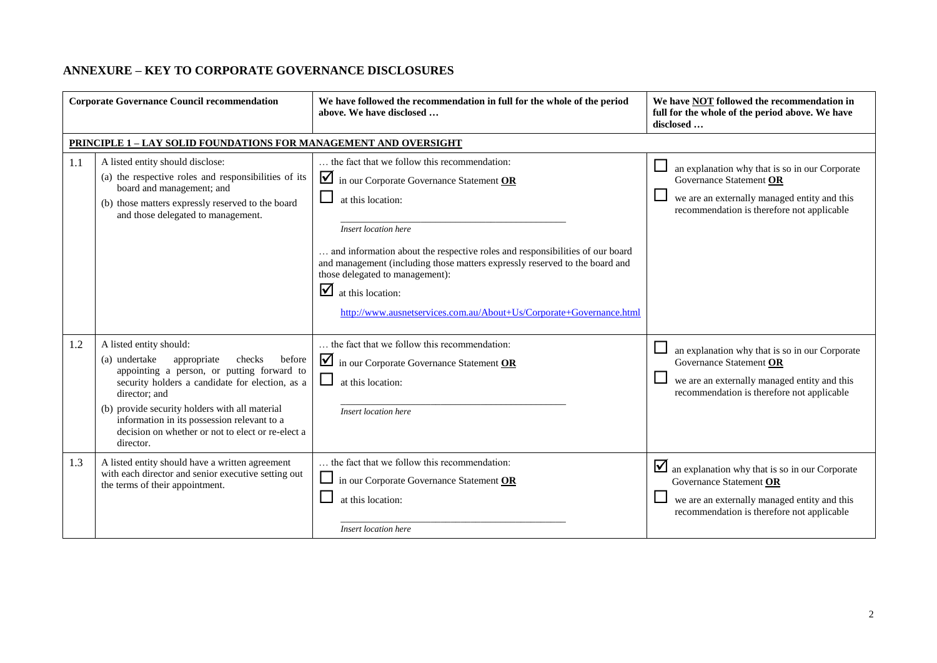### **ANNEXURE – KEY TO CORPORATE GOVERNANCE DISCLOSURES**

| <b>Corporate Governance Council recommendation</b> |                                                                                                                                                                                                                                                                                                                                                                  | We have followed the recommendation in full for the whole of the period<br>above. We have disclosed                                                                                                                                                                                                                                                                                                                                          | We have <b>NOT</b> followed the recommendation in<br>full for the whole of the period above. We have<br>disclosed                                                       |
|----------------------------------------------------|------------------------------------------------------------------------------------------------------------------------------------------------------------------------------------------------------------------------------------------------------------------------------------------------------------------------------------------------------------------|----------------------------------------------------------------------------------------------------------------------------------------------------------------------------------------------------------------------------------------------------------------------------------------------------------------------------------------------------------------------------------------------------------------------------------------------|-------------------------------------------------------------------------------------------------------------------------------------------------------------------------|
|                                                    | <b>PRINCIPLE 1 - LAY SOLID FOUNDATIONS FOR MANAGEMENT AND OVERSIGHT</b>                                                                                                                                                                                                                                                                                          |                                                                                                                                                                                                                                                                                                                                                                                                                                              |                                                                                                                                                                         |
| 1.1                                                | A listed entity should disclose:<br>(a) the respective roles and responsibilities of its<br>board and management; and<br>(b) those matters expressly reserved to the board<br>and those delegated to management.                                                                                                                                                 | the fact that we follow this recommendation:<br>in our Corporate Governance Statement OR<br>at this location:<br>Insert location here<br>and information about the respective roles and responsibilities of our board<br>and management (including those matters expressly reserved to the board and<br>those delegated to management):<br>$\Delta$ at this location:<br>http://www.ausnetservices.com.au/About+Us/Corporate+Governance.html | an explanation why that is so in our Corporate<br>Governance Statement OR<br>we are an externally managed entity and this<br>recommendation is therefore not applicable |
| 1.2                                                | A listed entity should:<br>(a) undertake<br>appropriate<br>checks<br>before<br>appointing a person, or putting forward to<br>security holders a candidate for election, as a<br>director; and<br>(b) provide security holders with all material<br>information in its possession relevant to a<br>decision on whether or not to elect or re-elect a<br>director. | the fact that we follow this recommendation:<br>in our Corporate Governance Statement OR<br>at this location:<br>Insert location here                                                                                                                                                                                                                                                                                                        | an explanation why that is so in our Corporate<br>Governance Statement OR<br>we are an externally managed entity and this<br>recommendation is therefore not applicable |
| 1.3                                                | A listed entity should have a written agreement<br>with each director and senior executive setting out<br>the terms of their appointment.                                                                                                                                                                                                                        | the fact that we follow this recommendation:<br>in our Corporate Governance Statement OR<br>at this location:<br>Insert location here                                                                                                                                                                                                                                                                                                        | an explanation why that is so in our Corporate<br>Governance Statement OR<br>we are an externally managed entity and this<br>recommendation is therefore not applicable |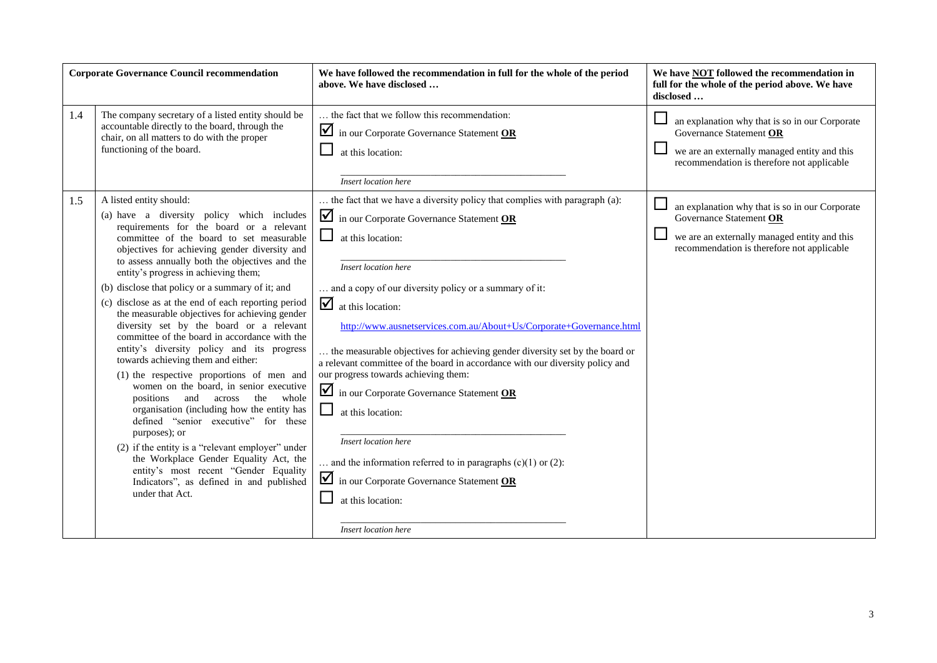| <b>Corporate Governance Council recommendation</b> |                                                                                                                                                                                                                                                                                                                                                                                                                                                                                                                                                                                                                                                                                                                                                                                                                                                                                                                                                                                                                                                                                                           | We have followed the recommendation in full for the whole of the period<br>above. We have disclosed                                                                                                                                                                                                                                                                                                                                                                                                                                                                                                                                                                                                                                                                                                          | We have <b>NOT</b> followed the recommendation in<br>full for the whole of the period above. We have<br>disclosed                                                            |
|----------------------------------------------------|-----------------------------------------------------------------------------------------------------------------------------------------------------------------------------------------------------------------------------------------------------------------------------------------------------------------------------------------------------------------------------------------------------------------------------------------------------------------------------------------------------------------------------------------------------------------------------------------------------------------------------------------------------------------------------------------------------------------------------------------------------------------------------------------------------------------------------------------------------------------------------------------------------------------------------------------------------------------------------------------------------------------------------------------------------------------------------------------------------------|--------------------------------------------------------------------------------------------------------------------------------------------------------------------------------------------------------------------------------------------------------------------------------------------------------------------------------------------------------------------------------------------------------------------------------------------------------------------------------------------------------------------------------------------------------------------------------------------------------------------------------------------------------------------------------------------------------------------------------------------------------------------------------------------------------------|------------------------------------------------------------------------------------------------------------------------------------------------------------------------------|
| 1.4                                                | The company secretary of a listed entity should be<br>accountable directly to the board, through the<br>chair, on all matters to do with the proper<br>functioning of the board.                                                                                                                                                                                                                                                                                                                                                                                                                                                                                                                                                                                                                                                                                                                                                                                                                                                                                                                          | the fact that we follow this recommendation:<br>in our Corporate Governance Statement OR<br>at this location:<br><b>Insert location here</b>                                                                                                                                                                                                                                                                                                                                                                                                                                                                                                                                                                                                                                                                 | an explanation why that is so in our Corporate<br>Governance Statement OR<br>we are an externally managed entity and this<br>recommendation is therefore not applicable      |
| 1.5                                                | A listed entity should:<br>(a) have a diversity policy which includes<br>requirements for the board or a relevant<br>committee of the board to set measurable<br>objectives for achieving gender diversity and<br>to assess annually both the objectives and the<br>entity's progress in achieving them;<br>(b) disclose that policy or a summary of it; and<br>(c) disclose as at the end of each reporting period<br>the measurable objectives for achieving gender<br>diversity set by the board or a relevant<br>committee of the board in accordance with the<br>entity's diversity policy and its progress<br>towards achieving them and either:<br>(1) the respective proportions of men and<br>women on the board, in senior executive<br>positions<br>the<br>whole<br>and<br>across<br>organisation (including how the entity has<br>defined "senior executive" for these<br>purposes); or<br>(2) if the entity is a "relevant employer" under<br>the Workplace Gender Equality Act, the<br>entity's most recent "Gender Equality<br>Indicators", as defined in and published<br>under that Act. | the fact that we have a diversity policy that complies with paragraph (a):<br>in our Corporate Governance Statement OR<br>$\Box$<br>at this location:<br>Insert location here<br>and a copy of our diversity policy or a summary of it:<br>$\Delta$ at this location:<br>http://www.ausnetservices.com.au/About+Us/Corporate+Governance.html<br>the measurable objectives for achieving gender diversity set by the board or<br>a relevant committee of the board in accordance with our diversity policy and<br>our progress towards achieving them:<br>in our Corporate Governance Statement OR<br>at this location:<br>Insert location here<br>and the information referred to in paragraphs $(c)(1)$ or $(2)$ :<br>in our Corporate Governance Statement OR<br>at this location:<br>Insert location here | ப<br>an explanation why that is so in our Corporate<br>Governance Statement OR<br>we are an externally managed entity and this<br>recommendation is therefore not applicable |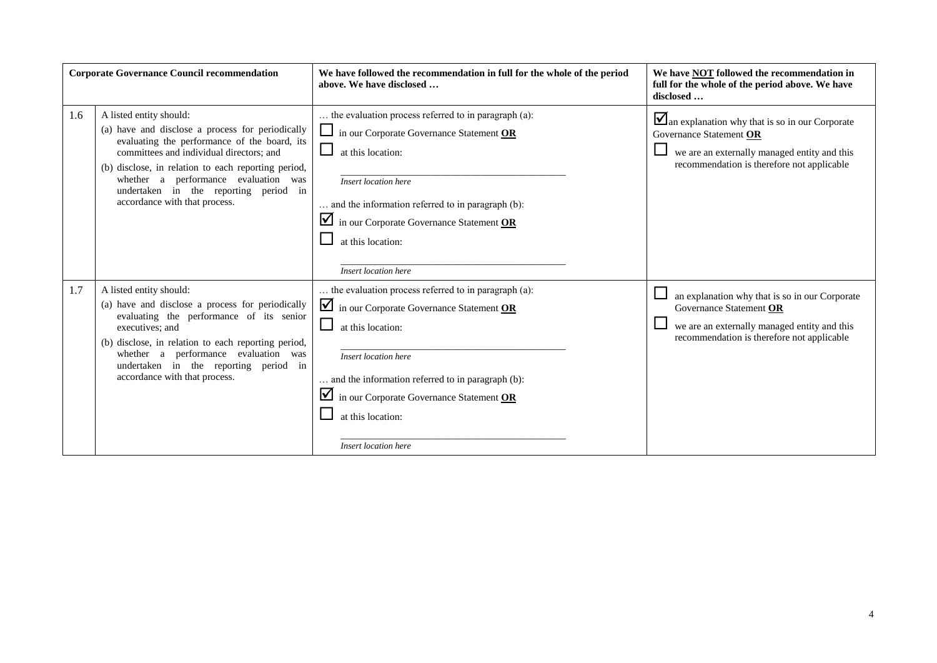| <b>Corporate Governance Council recommendation</b> |                                                                                                                                                                                                                                                                                                                                                  | We have followed the recommendation in full for the whole of the period<br>above. We have disclosed                                                                                                                                                                                                                              | We have NOT followed the recommendation in<br>full for the whole of the period above. We have<br>disclosed                                                              |
|----------------------------------------------------|--------------------------------------------------------------------------------------------------------------------------------------------------------------------------------------------------------------------------------------------------------------------------------------------------------------------------------------------------|----------------------------------------------------------------------------------------------------------------------------------------------------------------------------------------------------------------------------------------------------------------------------------------------------------------------------------|-------------------------------------------------------------------------------------------------------------------------------------------------------------------------|
| 1.6                                                | A listed entity should:<br>(a) have and disclose a process for periodically<br>evaluating the performance of the board, its<br>committees and individual directors; and<br>(b) disclose, in relation to each reporting period,<br>whether a performance evaluation was<br>undertaken in the reporting period in<br>accordance with that process. | the evaluation process referred to in paragraph (a):<br>$\sqcup$<br>in our Corporate Governance Statement OR<br>$\Box$<br>at this location:<br>Insert location here<br>and the information referred to in paragraph (b):<br>$\blacksquare$ in our Corporate Governance Statement OR<br>at this location:<br>Insert location here | an explanation why that is so in our Corporate<br>Governance Statement OR<br>we are an externally managed entity and this<br>recommendation is therefore not applicable |
| 1.7                                                | A listed entity should:<br>(a) have and disclose a process for periodically<br>evaluating the performance of its senior<br>executives; and<br>(b) disclose, in relation to each reporting period,<br>whether a performance evaluation was<br>undertaken in the reporting period in<br>accordance with that process.                              | the evaluation process referred to in paragraph (a):<br>$\blacksquare$ in our Corporate Governance Statement OR<br>□<br>at this location:<br>Insert location here<br>and the information referred to in paragraph (b):<br>$\blacksquare$ in our Corporate Governance Statement OR<br>at this location:<br>Insert location here   | an explanation why that is so in our Corporate<br>Governance Statement OR<br>we are an externally managed entity and this<br>recommendation is therefore not applicable |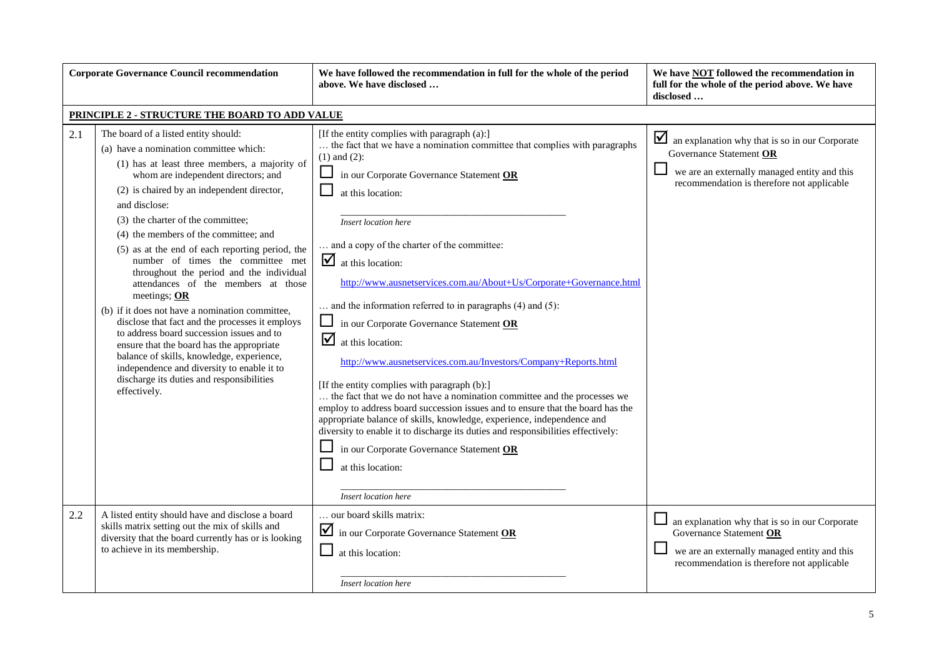| <b>Corporate Governance Council recommendation</b> |                                                                                                                                                                                                                                                                                                                                                                                                                                                                                                                                                                                                                                                                                                                                                                                                                                                                          | We have followed the recommendation in full for the whole of the period<br>above. We have disclosed                                                                                                                                                                                                                                                                                                                                                                                                                                                                                                                                                                                                                                                                                                                                                                                                                                                                                                                                                                                           | We have <b>NOT</b> followed the recommendation in<br>full for the whole of the period above. We have<br>disclosed                                                       |
|----------------------------------------------------|--------------------------------------------------------------------------------------------------------------------------------------------------------------------------------------------------------------------------------------------------------------------------------------------------------------------------------------------------------------------------------------------------------------------------------------------------------------------------------------------------------------------------------------------------------------------------------------------------------------------------------------------------------------------------------------------------------------------------------------------------------------------------------------------------------------------------------------------------------------------------|-----------------------------------------------------------------------------------------------------------------------------------------------------------------------------------------------------------------------------------------------------------------------------------------------------------------------------------------------------------------------------------------------------------------------------------------------------------------------------------------------------------------------------------------------------------------------------------------------------------------------------------------------------------------------------------------------------------------------------------------------------------------------------------------------------------------------------------------------------------------------------------------------------------------------------------------------------------------------------------------------------------------------------------------------------------------------------------------------|-------------------------------------------------------------------------------------------------------------------------------------------------------------------------|
|                                                    | PRINCIPLE 2 - STRUCTURE THE BOARD TO ADD VALUE                                                                                                                                                                                                                                                                                                                                                                                                                                                                                                                                                                                                                                                                                                                                                                                                                           |                                                                                                                                                                                                                                                                                                                                                                                                                                                                                                                                                                                                                                                                                                                                                                                                                                                                                                                                                                                                                                                                                               |                                                                                                                                                                         |
| 2.1                                                | The board of a listed entity should:<br>(a) have a nomination committee which:<br>(1) has at least three members, a majority of<br>whom are independent directors; and<br>(2) is chaired by an independent director,<br>and disclose:<br>(3) the charter of the committee;<br>(4) the members of the committee; and<br>(5) as at the end of each reporting period, the<br>number of times the committee met<br>throughout the period and the individual<br>attendances of the members at those<br>meetings; $OR$<br>(b) if it does not have a nomination committee,<br>disclose that fact and the processes it employs<br>to address board succession issues and to<br>ensure that the board has the appropriate<br>balance of skills, knowledge, experience,<br>independence and diversity to enable it to<br>discharge its duties and responsibilities<br>effectively. | [If the entity complies with paragraph (a):]<br>the fact that we have a nomination committee that complies with paragraphs<br>$(1)$ and $(2)$ :<br>$\Box$<br>in our Corporate Governance Statement OR<br>at this location:<br>Insert location here<br>and a copy of the charter of the committee:<br>$\blacksquare$ at this location:<br>http://www.ausnetservices.com.au/About+Us/Corporate+Governance.html<br>and the information referred to in paragraphs $(4)$ and $(5)$ :<br>in our Corporate Governance Statement OR<br>☑<br>at this location:<br>http://www.ausnetservices.com.au/Investors/Company+Reports.html<br>[If the entity complies with paragraph (b):]<br>the fact that we do not have a nomination committee and the processes we<br>employ to address board succession issues and to ensure that the board has the<br>appropriate balance of skills, knowledge, experience, independence and<br>diversity to enable it to discharge its duties and responsibilities effectively:<br>in our Corporate Governance Statement OR<br>at this location:<br>Insert location here | an explanation why that is so in our Corporate<br>Governance Statement OR<br>we are an externally managed entity and this<br>recommendation is therefore not applicable |
| 2.2                                                | A listed entity should have and disclose a board<br>skills matrix setting out the mix of skills and<br>diversity that the board currently has or is looking<br>to achieve in its membership.                                                                                                                                                                                                                                                                                                                                                                                                                                                                                                                                                                                                                                                                             | our board skills matrix:<br>in our Corporate Governance Statement OR<br>at this location:<br>Insert location here                                                                                                                                                                                                                                                                                                                                                                                                                                                                                                                                                                                                                                                                                                                                                                                                                                                                                                                                                                             | an explanation why that is so in our Corporate<br>Governance Statement OR<br>we are an externally managed entity and this<br>recommendation is therefore not applicable |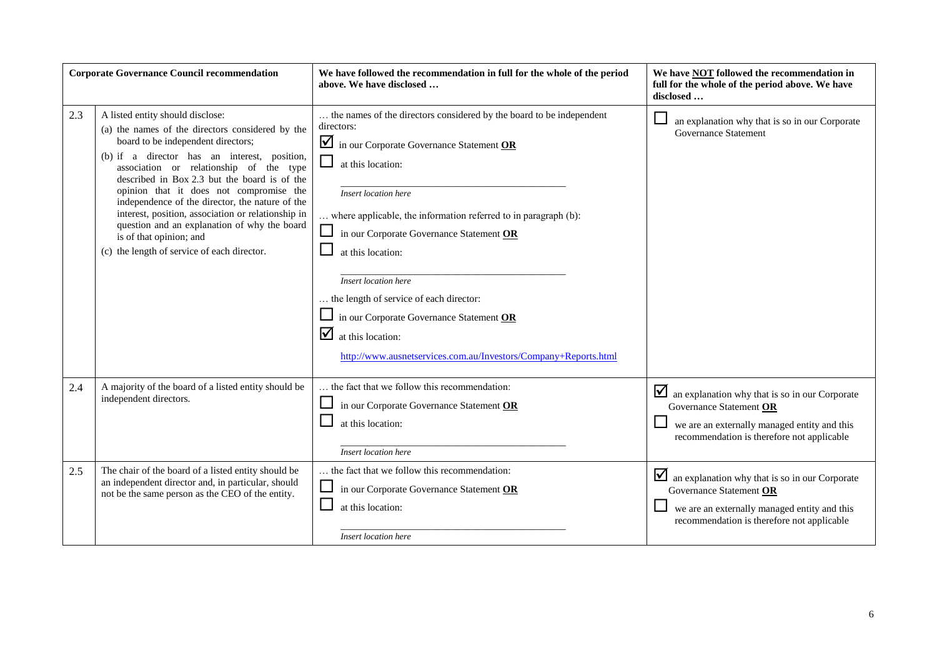| <b>Corporate Governance Council recommendation</b> |                                                                                                                                                                                                                                                                                                                                                                                                                                                                                                                                                     | We have followed the recommendation in full for the whole of the period<br>above. We have disclosed                                                                                                                                                                                                                                                                                                                                                                                                                                                             | We have NOT followed the recommendation in<br>full for the whole of the period above. We have<br>disclosed                                                              |
|----------------------------------------------------|-----------------------------------------------------------------------------------------------------------------------------------------------------------------------------------------------------------------------------------------------------------------------------------------------------------------------------------------------------------------------------------------------------------------------------------------------------------------------------------------------------------------------------------------------------|-----------------------------------------------------------------------------------------------------------------------------------------------------------------------------------------------------------------------------------------------------------------------------------------------------------------------------------------------------------------------------------------------------------------------------------------------------------------------------------------------------------------------------------------------------------------|-------------------------------------------------------------------------------------------------------------------------------------------------------------------------|
| 2.3                                                | A listed entity should disclose:<br>(a) the names of the directors considered by the<br>board to be independent directors;<br>(b) if a director has an interest, position,<br>association or relationship of the type<br>described in Box 2.3 but the board is of the<br>opinion that it does not compromise the<br>independence of the director, the nature of the<br>interest, position, association or relationship in<br>question and an explanation of why the board<br>is of that opinion; and<br>(c) the length of service of each director. | the names of the directors considered by the board to be independent<br>directors:<br>in our Corporate Governance Statement OR<br>$\Box$<br>at this location:<br>Insert location here<br>where applicable, the information referred to in paragraph (b):<br>in our Corporate Governance Statement OR<br>at this location:<br>Insert location here<br>the length of service of each director:<br>$\Box$ in our Corporate Governance Statement OR<br>$\overline{\mathbf{y}}$ at this location:<br>http://www.ausnetservices.com.au/Investors/Company+Reports.html | an explanation why that is so in our Corporate<br><b>Governance Statement</b>                                                                                           |
| 2.4                                                | A majority of the board of a listed entity should be<br>independent directors.                                                                                                                                                                                                                                                                                                                                                                                                                                                                      | the fact that we follow this recommendation:<br>in our Corporate Governance Statement OR<br>at this location:<br>Insert location here                                                                                                                                                                                                                                                                                                                                                                                                                           | an explanation why that is so in our Corporate<br>Governance Statement OR<br>we are an externally managed entity and this<br>recommendation is therefore not applicable |
| 2.5                                                | The chair of the board of a listed entity should be<br>an independent director and, in particular, should<br>not be the same person as the CEO of the entity.                                                                                                                                                                                                                                                                                                                                                                                       | the fact that we follow this recommendation:<br>in our Corporate Governance Statement OR<br>at this location:<br>Insert location here                                                                                                                                                                                                                                                                                                                                                                                                                           | an explanation why that is so in our Corporate<br>Governance Statement OR<br>we are an externally managed entity and this<br>recommendation is therefore not applicable |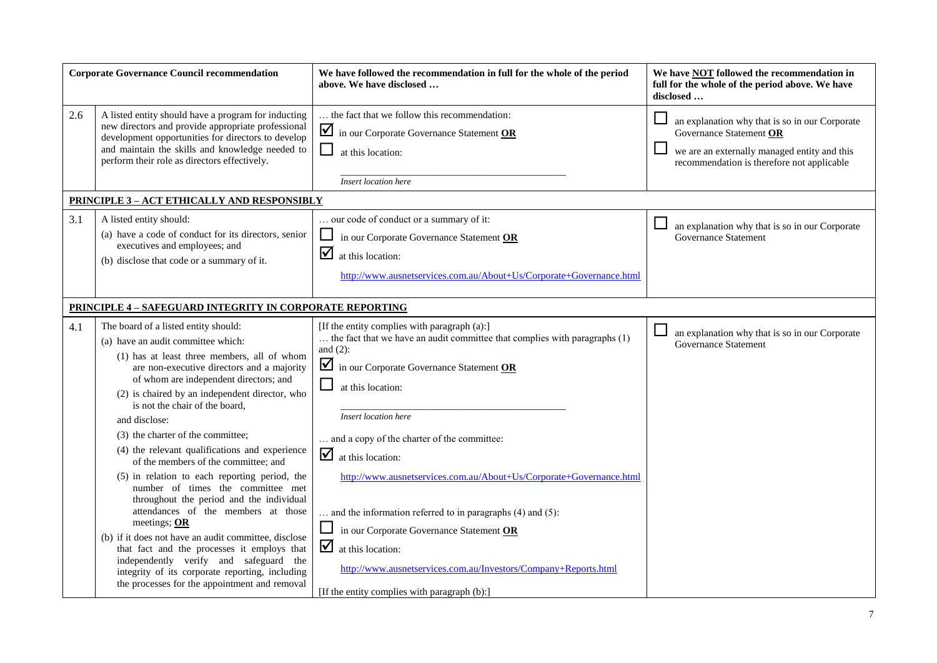| <b>Corporate Governance Council recommendation</b> |                                                                                                                                                                                                                                                                                                                                                                                                                                                                                                                                                                                                                                                                                                                                                                                                                                                                                                     | We have followed the recommendation in full for the whole of the period<br>above. We have disclosed                                                                                                                                                                                                                                                                                                                                                                                                                                                                                                                                                             | We have <b>NOT</b> followed the recommendation in<br>full for the whole of the period above. We have<br>disclosed                                                       |
|----------------------------------------------------|-----------------------------------------------------------------------------------------------------------------------------------------------------------------------------------------------------------------------------------------------------------------------------------------------------------------------------------------------------------------------------------------------------------------------------------------------------------------------------------------------------------------------------------------------------------------------------------------------------------------------------------------------------------------------------------------------------------------------------------------------------------------------------------------------------------------------------------------------------------------------------------------------------|-----------------------------------------------------------------------------------------------------------------------------------------------------------------------------------------------------------------------------------------------------------------------------------------------------------------------------------------------------------------------------------------------------------------------------------------------------------------------------------------------------------------------------------------------------------------------------------------------------------------------------------------------------------------|-------------------------------------------------------------------------------------------------------------------------------------------------------------------------|
| 2.6                                                | A listed entity should have a program for inducting<br>new directors and provide appropriate professional<br>development opportunities for directors to develop<br>and maintain the skills and knowledge needed to<br>perform their role as directors effectively.                                                                                                                                                                                                                                                                                                                                                                                                                                                                                                                                                                                                                                  | the fact that we follow this recommendation:<br>☑<br>in our Corporate Governance Statement OR<br>⊔<br>at this location:<br>Insert location here                                                                                                                                                                                                                                                                                                                                                                                                                                                                                                                 | an explanation why that is so in our Corporate<br>Governance Statement OR<br>we are an externally managed entity and this<br>recommendation is therefore not applicable |
|                                                    | PRINCIPLE 3 - ACT ETHICALLY AND RESPONSIBLY                                                                                                                                                                                                                                                                                                                                                                                                                                                                                                                                                                                                                                                                                                                                                                                                                                                         |                                                                                                                                                                                                                                                                                                                                                                                                                                                                                                                                                                                                                                                                 |                                                                                                                                                                         |
| 3.1                                                | A listed entity should:<br>(a) have a code of conduct for its directors, senior<br>executives and employees; and<br>(b) disclose that code or a summary of it.                                                                                                                                                                                                                                                                                                                                                                                                                                                                                                                                                                                                                                                                                                                                      | our code of conduct or a summary of it:<br>ப<br>in our Corporate Governance Statement OR<br>☑<br>at this location:<br>http://www.ausnetservices.com.au/About+Us/Corporate+Governance.html                                                                                                                                                                                                                                                                                                                                                                                                                                                                       | an explanation why that is so in our Corporate<br><b>Governance Statement</b>                                                                                           |
|                                                    | <b>PRINCIPLE 4-SAFEGUARD INTEGRITY IN CORPORATE REPORTING</b>                                                                                                                                                                                                                                                                                                                                                                                                                                                                                                                                                                                                                                                                                                                                                                                                                                       |                                                                                                                                                                                                                                                                                                                                                                                                                                                                                                                                                                                                                                                                 |                                                                                                                                                                         |
| 4.1                                                | The board of a listed entity should:<br>(a) have an audit committee which:<br>(1) has at least three members, all of whom<br>are non-executive directors and a majority<br>of whom are independent directors; and<br>(2) is chaired by an independent director, who<br>is not the chair of the board,<br>and disclose:<br>(3) the charter of the committee;<br>(4) the relevant qualifications and experience<br>of the members of the committee: and<br>(5) in relation to each reporting period, the<br>number of times the committee met<br>throughout the period and the individual<br>attendances of the members at those<br>meetings; OR<br>(b) if it does not have an audit committee, disclose<br>that fact and the processes it employs that<br>independently verify and safeguard the<br>integrity of its corporate reporting, including<br>the processes for the appointment and removal | [If the entity complies with paragraph (a):]<br>the fact that we have an audit committee that complies with paragraphs (1)<br>and $(2)$ :<br>$\Delta$<br>in our Corporate Governance Statement OR<br>$\Box$<br>at this location:<br>Insert location here<br>and a copy of the charter of the committee:<br>☑<br>at this location:<br>http://www.ausnetservices.com.au/About+Us/Corporate+Governance.html<br>and the information referred to in paragraphs (4) and (5):<br>in our Corporate Governance Statement OR<br>☑<br>at this location:<br>http://www.ausnetservices.com.au/Investors/Company+Reports.html<br>[If the entity complies with paragraph (b):] | ப<br>an explanation why that is so in our Corporate<br><b>Governance Statement</b>                                                                                      |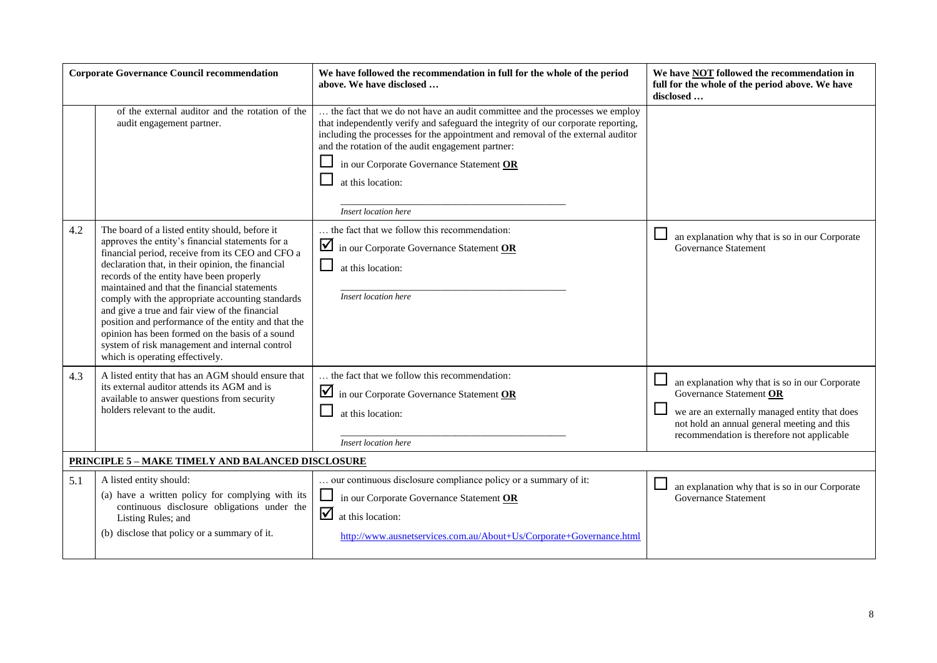| <b>Corporate Governance Council recommendation</b>                                                                                                                                                                                                                                                                                                                                                                                                                                                                                                                                                                  | We have followed the recommendation in full for the whole of the period<br>above. We have disclosed                                                                                                                                                                                                                                                                                                    | We have NOT followed the recommendation in<br>full for the whole of the period above. We have<br>disclosed                                                                                                              |  |  |
|---------------------------------------------------------------------------------------------------------------------------------------------------------------------------------------------------------------------------------------------------------------------------------------------------------------------------------------------------------------------------------------------------------------------------------------------------------------------------------------------------------------------------------------------------------------------------------------------------------------------|--------------------------------------------------------------------------------------------------------------------------------------------------------------------------------------------------------------------------------------------------------------------------------------------------------------------------------------------------------------------------------------------------------|-------------------------------------------------------------------------------------------------------------------------------------------------------------------------------------------------------------------------|--|--|
| of the external auditor and the rotation of the<br>audit engagement partner.                                                                                                                                                                                                                                                                                                                                                                                                                                                                                                                                        | the fact that we do not have an audit committee and the processes we employ<br>that independently verify and safeguard the integrity of our corporate reporting,<br>including the processes for the appointment and removal of the external auditor<br>and the rotation of the audit engagement partner:<br>in our Corporate Governance Statement OR<br>⊔<br>at this location:<br>Insert location here |                                                                                                                                                                                                                         |  |  |
| 4.2<br>The board of a listed entity should, before it<br>approves the entity's financial statements for a<br>financial period, receive from its CEO and CFO a<br>declaration that, in their opinion, the financial<br>records of the entity have been properly<br>maintained and that the financial statements<br>comply with the appropriate accounting standards<br>and give a true and fair view of the financial<br>position and performance of the entity and that the<br>opinion has been formed on the basis of a sound<br>system of risk management and internal control<br>which is operating effectively. | the fact that we follow this recommendation:<br>in our Corporate Governance Statement OR<br>⊔<br>at this location:<br>Insert location here                                                                                                                                                                                                                                                             | an explanation why that is so in our Corporate<br><b>Governance Statement</b>                                                                                                                                           |  |  |
| A listed entity that has an AGM should ensure that<br>4.3<br>its external auditor attends its AGM and is<br>available to answer questions from security<br>holders relevant to the audit.                                                                                                                                                                                                                                                                                                                                                                                                                           | the fact that we follow this recommendation:<br>in our Corporate Governance Statement OR<br>at this location:<br>Insert location here                                                                                                                                                                                                                                                                  | an explanation why that is so in our Corporate<br>Governance Statement OR<br>we are an externally managed entity that does<br>not hold an annual general meeting and this<br>recommendation is therefore not applicable |  |  |
| <b>PRINCIPLE 5 - MAKE TIMELY AND BALANCED DISCLOSURE</b>                                                                                                                                                                                                                                                                                                                                                                                                                                                                                                                                                            |                                                                                                                                                                                                                                                                                                                                                                                                        |                                                                                                                                                                                                                         |  |  |
| A listed entity should:<br>5.1<br>(a) have a written policy for complying with its<br>continuous disclosure obligations under the<br>Listing Rules; and<br>(b) disclose that policy or a summary of it.                                                                                                                                                                                                                                                                                                                                                                                                             | our continuous disclosure compliance policy or a summary of it:<br>⊔<br>in our Corporate Governance Statement OR<br>☑<br>at this location:<br>http://www.ausnetservices.com.au/About+Us/Corporate+Governance.html                                                                                                                                                                                      | an explanation why that is so in our Corporate<br><b>Governance Statement</b>                                                                                                                                           |  |  |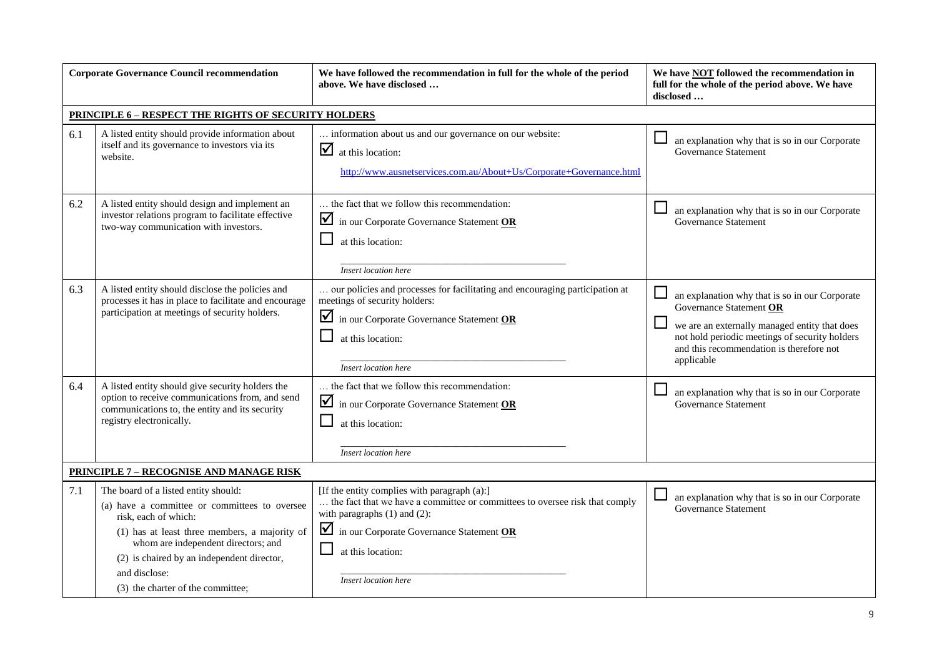| <b>Corporate Governance Council recommendation</b> |                                                                                                                                                                                                                                                                                                           | We have followed the recommendation in full for the whole of the period<br>above. We have disclosed                                                                                                                                                       | We have <b>NOT</b> followed the recommendation in<br>full for the whole of the period above. We have<br>disclosed                                                                                                                      |
|----------------------------------------------------|-----------------------------------------------------------------------------------------------------------------------------------------------------------------------------------------------------------------------------------------------------------------------------------------------------------|-----------------------------------------------------------------------------------------------------------------------------------------------------------------------------------------------------------------------------------------------------------|----------------------------------------------------------------------------------------------------------------------------------------------------------------------------------------------------------------------------------------|
|                                                    | <b>PRINCIPLE 6 - RESPECT THE RIGHTS OF SECURITY HOLDERS</b>                                                                                                                                                                                                                                               |                                                                                                                                                                                                                                                           |                                                                                                                                                                                                                                        |
| 6.1                                                | A listed entity should provide information about<br>itself and its governance to investors via its<br>website.                                                                                                                                                                                            | information about us and our governance on our website:<br>$\sum$ at this location:<br>http://www.ausnetservices.com.au/About+Us/Corporate+Governance.html                                                                                                | an explanation why that is so in our Corporate<br>Governance Statement                                                                                                                                                                 |
| 6.2                                                | A listed entity should design and implement an<br>investor relations program to facilitate effective<br>two-way communication with investors.                                                                                                                                                             | the fact that we follow this recommendation:<br>in our Corporate Governance Statement OR<br>at this location:<br>Insert location here                                                                                                                     | an explanation why that is so in our Corporate<br><b>Governance Statement</b>                                                                                                                                                          |
| 6.3                                                | A listed entity should disclose the policies and<br>processes it has in place to facilitate and encourage<br>participation at meetings of security holders.                                                                                                                                               | our policies and processes for facilitating and encouraging participation at<br>meetings of security holders:<br>in our Corporate Governance Statement OR<br>at this location:<br>Insert location here                                                    | an explanation why that is so in our Corporate<br>Governance Statement OR<br>we are an externally managed entity that does<br>not hold periodic meetings of security holders<br>and this recommendation is therefore not<br>applicable |
| 6.4                                                | A listed entity should give security holders the<br>option to receive communications from, and send<br>communications to, the entity and its security<br>registry electronically.                                                                                                                         | the fact that we follow this recommendation:<br>in our Corporate Governance Statement OR<br>at this location:<br>Insert location here                                                                                                                     | an explanation why that is so in our Corporate<br>Governance Statement                                                                                                                                                                 |
|                                                    | <b>PRINCIPLE 7 - RECOGNISE AND MANAGE RISK</b>                                                                                                                                                                                                                                                            |                                                                                                                                                                                                                                                           |                                                                                                                                                                                                                                        |
| 7.1                                                | The board of a listed entity should:<br>(a) have a committee or committees to oversee<br>risk, each of which:<br>(1) has at least three members, a majority of<br>whom are independent directors; and<br>(2) is chaired by an independent director,<br>and disclose:<br>(3) the charter of the committee; | [If the entity complies with paragraph (a):]<br>the fact that we have a committee or committees to oversee risk that comply<br>with paragraphs $(1)$ and $(2)$ :<br>in our Corporate Governance Statement OR<br>at this location:<br>Insert location here | an explanation why that is so in our Corporate<br>Governance Statement                                                                                                                                                                 |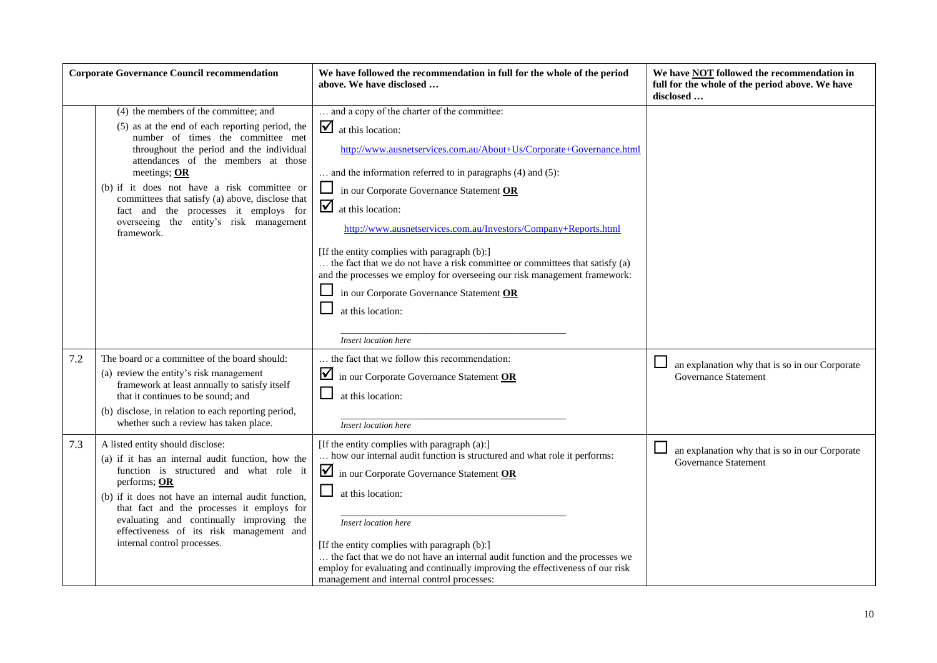| <b>Corporate Governance Council recommendation</b> |                                                                                                                                                                                                                                                                                                                                                                                                                                       | We have followed the recommendation in full for the whole of the period<br>above. We have disclosed                                                                                                                                                                                                                                                                                                                                                                                                                                                                                                                                                                                                        | We have <b>NOT</b> followed the recommendation in<br>full for the whole of the period above. We have<br>disclosed |
|----------------------------------------------------|---------------------------------------------------------------------------------------------------------------------------------------------------------------------------------------------------------------------------------------------------------------------------------------------------------------------------------------------------------------------------------------------------------------------------------------|------------------------------------------------------------------------------------------------------------------------------------------------------------------------------------------------------------------------------------------------------------------------------------------------------------------------------------------------------------------------------------------------------------------------------------------------------------------------------------------------------------------------------------------------------------------------------------------------------------------------------------------------------------------------------------------------------------|-------------------------------------------------------------------------------------------------------------------|
|                                                    | (4) the members of the committee; and<br>(5) as at the end of each reporting period, the<br>number of times the committee met<br>throughout the period and the individual<br>attendances of the members at those<br>meetings; OR<br>(b) if it does not have a risk committee or<br>committees that satisfy (a) above, disclose that<br>fact and the processes it employs for<br>overseeing the entity's risk management<br>framework. | and a copy of the charter of the committee:<br>$\sum$ at this location:<br>http://www.ausnetservices.com.au/About+Us/Corporate+Governance.html<br>and the information referred to in paragraphs $(4)$ and $(5)$ :<br>in our Corporate Governance Statement OR<br>$\overline{\mathsf{M}}$<br>at this location:<br>http://www.ausnetservices.com.au/Investors/Company+Reports.html<br>[If the entity complies with paragraph (b):]<br>the fact that we do not have a risk committee or committees that satisfy (a)<br>and the processes we employ for overseeing our risk management framework:<br>$\Box$ in our Corporate Governance Statement $\overline{OR}$<br>at this location:<br>Insert location here |                                                                                                                   |
| 7.2                                                | The board or a committee of the board should:<br>(a) review the entity's risk management<br>framework at least annually to satisfy itself<br>that it continues to be sound: and<br>(b) disclose, in relation to each reporting period,<br>whether such a review has taken place.                                                                                                                                                      | the fact that we follow this recommendation:<br>$\blacksquare$ in our Corporate Governance Statement OR<br>$\mathcal{L}_{\mathcal{A}}$<br>at this location:<br>Insert location here                                                                                                                                                                                                                                                                                                                                                                                                                                                                                                                        | an explanation why that is so in our Corporate<br><b>Governance Statement</b>                                     |
| 7.3                                                | A listed entity should disclose:<br>(a) if it has an internal audit function, how the<br>function is structured and what role it<br>performs; OR<br>(b) if it does not have an internal audit function,<br>that fact and the processes it employs for<br>evaluating and continually improving the<br>effectiveness of its risk management and<br>internal control processes.                                                          | [If the entity complies with paragraph (a):]<br>how our internal audit function is structured and what role it performs:<br>in our Corporate Governance Statement OR<br>at this location:<br>Insert location here<br>[If the entity complies with paragraph (b):]<br>the fact that we do not have an internal audit function and the processes we<br>employ for evaluating and continually improving the effectiveness of our risk<br>management and internal control processes:                                                                                                                                                                                                                           | an explanation why that is so in our Corporate<br>Governance Statement                                            |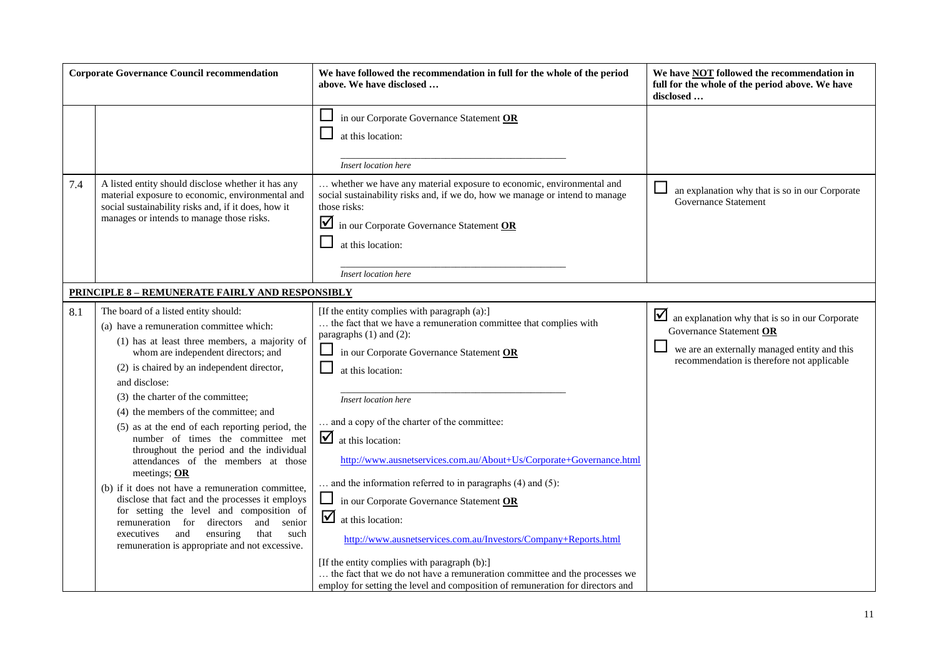| <b>Corporate Governance Council recommendation</b>                                                                                                                                                                                                                                                                                                                                                                                                                                                                                                                                                                                                                                                                                                                                                                            | We have followed the recommendation in full for the whole of the period<br>above. We have disclosed                                                                                                                                                                                                                                                                                                                                                                                                                                                                                                                                                                                                                                                                                                                       | We have <b>NOT</b> followed the recommendation in<br>full for the whole of the period above. We have<br>disclosed                                                       |
|-------------------------------------------------------------------------------------------------------------------------------------------------------------------------------------------------------------------------------------------------------------------------------------------------------------------------------------------------------------------------------------------------------------------------------------------------------------------------------------------------------------------------------------------------------------------------------------------------------------------------------------------------------------------------------------------------------------------------------------------------------------------------------------------------------------------------------|---------------------------------------------------------------------------------------------------------------------------------------------------------------------------------------------------------------------------------------------------------------------------------------------------------------------------------------------------------------------------------------------------------------------------------------------------------------------------------------------------------------------------------------------------------------------------------------------------------------------------------------------------------------------------------------------------------------------------------------------------------------------------------------------------------------------------|-------------------------------------------------------------------------------------------------------------------------------------------------------------------------|
|                                                                                                                                                                                                                                                                                                                                                                                                                                                                                                                                                                                                                                                                                                                                                                                                                               | $\Box$ in our Corporate Governance Statement OR<br>at this location:<br>Insert location here                                                                                                                                                                                                                                                                                                                                                                                                                                                                                                                                                                                                                                                                                                                              |                                                                                                                                                                         |
| A listed entity should disclose whether it has any<br>7.4<br>material exposure to economic, environmental and<br>social sustainability risks and, if it does, how it<br>manages or intends to manage those risks.                                                                                                                                                                                                                                                                                                                                                                                                                                                                                                                                                                                                             | whether we have any material exposure to economic, environmental and<br>social sustainability risks and, if we do, how we manage or intend to manage<br>those risks:<br>in our Corporate Governance Statement OR<br>at this location:<br>Insert location here                                                                                                                                                                                                                                                                                                                                                                                                                                                                                                                                                             | an explanation why that is so in our Corporate<br><b>Governance Statement</b>                                                                                           |
| <b>PRINCIPLE 8 - REMUNERATE FAIRLY AND RESPONSIBLY</b>                                                                                                                                                                                                                                                                                                                                                                                                                                                                                                                                                                                                                                                                                                                                                                        |                                                                                                                                                                                                                                                                                                                                                                                                                                                                                                                                                                                                                                                                                                                                                                                                                           |                                                                                                                                                                         |
| 8.1<br>The board of a listed entity should:<br>(a) have a remuneration committee which:<br>(1) has at least three members, a majority of<br>whom are independent directors; and<br>(2) is chaired by an independent director,<br>and disclose:<br>(3) the charter of the committee;<br>(4) the members of the committee; and<br>(5) as at the end of each reporting period, the<br>number of times the committee met<br>throughout the period and the individual<br>attendances of the members at those<br>meetings; OR<br>(b) if it does not have a remuneration committee,<br>disclose that fact and the processes it employs<br>for setting the level and composition of<br>remuneration for directors<br>and<br>senior<br>ensuring<br>that<br>executives<br>and<br>such<br>remuneration is appropriate and not excessive. | [If the entity complies with paragraph (a):]<br>the fact that we have a remuneration committee that complies with<br>paragraphs (1) and (2):<br>in our Corporate Governance Statement OR<br>at this location:<br>Insert location here<br>and a copy of the charter of the committee:<br>$\Delta$ at this location:<br>http://www.ausnetservices.com.au/About+Us/Corporate+Governance.html<br>$\ldots$ and the information referred to in paragraphs (4) and (5):<br>in our Corporate Governance Statement OR<br>☑<br>at this location:<br>http://www.ausnetservices.com.au/Investors/Company+Reports.html<br>[If the entity complies with paragraph (b):]<br>the fact that we do not have a remuneration committee and the processes we<br>employ for setting the level and composition of remuneration for directors and | an explanation why that is so in our Corporate<br>Governance Statement OR<br>we are an externally managed entity and this<br>recommendation is therefore not applicable |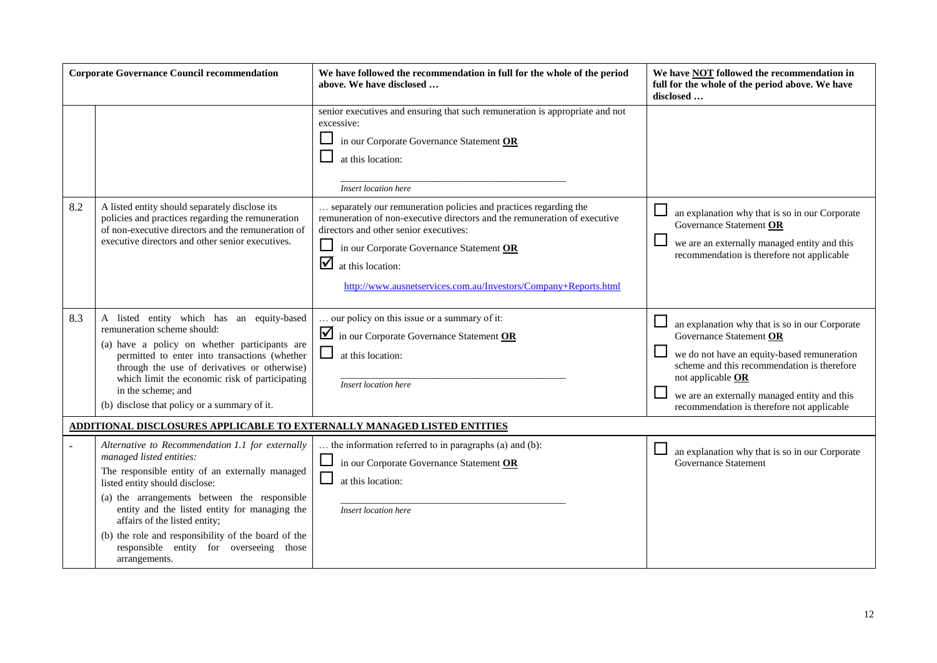| <b>Corporate Governance Council recommendation</b> |                                                                                                                                                                                                                                                                                                                                                                                                                        | We have followed the recommendation in full for the whole of the period<br>above. We have disclosed                                                                                                                                                                                                                                   | We have <b>NOT</b> followed the recommendation in<br>full for the whole of the period above. We have<br>disclosed                                                                                                                                                                          |  |  |
|----------------------------------------------------|------------------------------------------------------------------------------------------------------------------------------------------------------------------------------------------------------------------------------------------------------------------------------------------------------------------------------------------------------------------------------------------------------------------------|---------------------------------------------------------------------------------------------------------------------------------------------------------------------------------------------------------------------------------------------------------------------------------------------------------------------------------------|--------------------------------------------------------------------------------------------------------------------------------------------------------------------------------------------------------------------------------------------------------------------------------------------|--|--|
|                                                    |                                                                                                                                                                                                                                                                                                                                                                                                                        | senior executives and ensuring that such remuneration is appropriate and not<br>excessive:<br>in our Corporate Governance Statement OR<br>at this location:<br>Insert location here                                                                                                                                                   |                                                                                                                                                                                                                                                                                            |  |  |
| 8.2                                                | A listed entity should separately disclose its<br>policies and practices regarding the remuneration<br>of non-executive directors and the remuneration of<br>executive directors and other senior executives.                                                                                                                                                                                                          | separately our remuneration policies and practices regarding the<br>remuneration of non-executive directors and the remuneration of executive<br>directors and other senior executives:<br>⊔<br>in our Corporate Governance Statement OR<br>☑<br>at this location:<br>http://www.ausnetservices.com.au/Investors/Company+Reports.html | an explanation why that is so in our Corporate<br>Governance Statement OR<br>we are an externally managed entity and this<br>recommendation is therefore not applicable                                                                                                                    |  |  |
| 8.3                                                | A listed entity which has an equity-based<br>remuneration scheme should:<br>(a) have a policy on whether participants are<br>permitted to enter into transactions (whether<br>through the use of derivatives or otherwise)<br>which limit the economic risk of participating<br>in the scheme; and<br>(b) disclose that policy or a summary of it.                                                                     | our policy on this issue or a summary of it:<br>in our Corporate Governance Statement OR<br>$\Box$<br>at this location:<br>Insert location here                                                                                                                                                                                       | an explanation why that is so in our Corporate<br>Governance Statement OR<br>we do not have an equity-based remuneration<br>scheme and this recommendation is therefore<br>not applicable OR<br>we are an externally managed entity and this<br>recommendation is therefore not applicable |  |  |
|                                                    | <u>ADDITIONAL DISCLOSURES APPLICABLE TO EXTERNALLY MANAGED LISTED ENTITIES</u>                                                                                                                                                                                                                                                                                                                                         |                                                                                                                                                                                                                                                                                                                                       |                                                                                                                                                                                                                                                                                            |  |  |
|                                                    | Alternative to Recommendation 1.1 for externally<br>managed listed entities:<br>The responsible entity of an externally managed<br>listed entity should disclose:<br>(a) the arrangements between the responsible<br>entity and the listed entity for managing the<br>affairs of the listed entity;<br>(b) the role and responsibility of the board of the<br>responsible entity for overseeing those<br>arrangements. | the information referred to in paragraphs (a) and (b):<br>in our Corporate Governance Statement OR<br>at this location:<br>Insert location here                                                                                                                                                                                       | an explanation why that is so in our Corporate<br><b>Governance Statement</b>                                                                                                                                                                                                              |  |  |